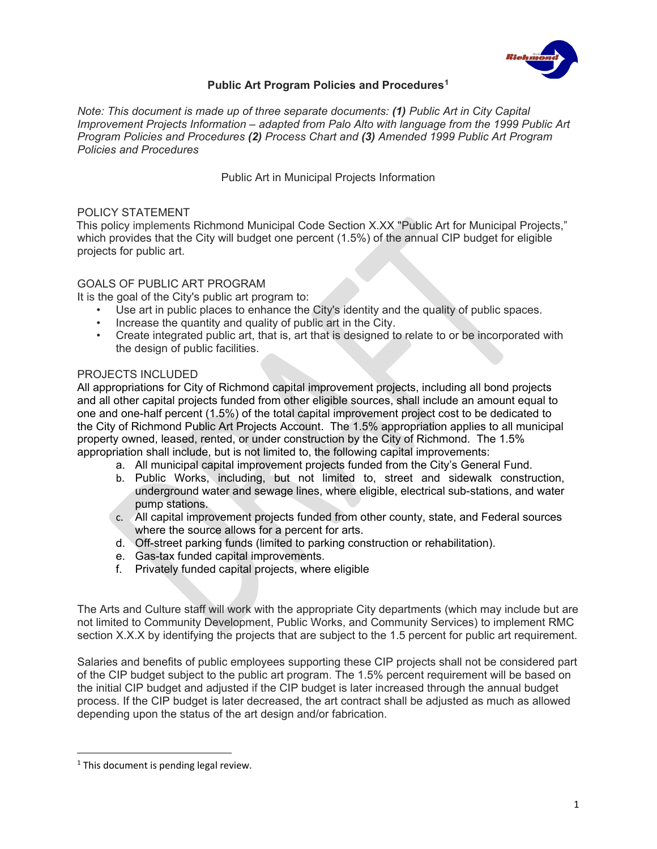

#### **Public Art Program Policies and Procedures[1](#page-0-0)**

*Note: This document is made up of three separate documents: (1) Public Art in City Capital Improvement Projects Information – adapted from Palo Alto with language from the 1999 Public Art Program Policies and Procedures (2) Process Chart and (3) Amended 1999 Public Art Program Policies and Procedures*

Public Art in Municipal Projects Information

#### POLICY STATEMENT

This policy implements Richmond Municipal Code Section X.XX "Public Art for Municipal Projects," which provides that the City will budget one percent (1.5%) of the annual CIP budget for eligible projects for public art.

#### GOALS OF PUBLIC ART PROGRAM

It is the goal of the City's public art program to:

- Use art in public places to enhance the City's identity and the quality of public spaces.
- Increase the quantity and quality of public art in the City.<br>• Create integrated public art that is art that is designed to
- Create integrated public art, that is, art that is designed to relate to or be incorporated with the design of public facilities.

#### PROJECTS INCLUDED

All appropriations for City of Richmond capital improvement projects, including all bond projects and all other capital projects funded from other eligible sources, shall include an amount equal to one and one-half percent (1.5%) of the total capital improvement project cost to be dedicated to the City of Richmond Public Art Projects Account. The 1.5% appropriation applies to all municipal property owned, leased, rented, or under construction by the City of Richmond. The 1.5% appropriation shall include, but is not limited to, the following capital improvements:

- a. All municipal capital improvement projects funded from the City's General Fund.
- b. Public Works, including, but not limited to, street and sidewalk construction, underground water and sewage lines, where eligible, electrical sub-stations, and water pump stations.
- c. All capital improvement projects funded from other county, state, and Federal sources where the source allows for a percent for arts.
- d. Off-street parking funds (limited to parking construction or rehabilitation).
- e. Gas-tax funded capital improvements.
- f. Privately funded capital projects, where eligible

The Arts and Culture staff will work with the appropriate City departments (which may include but are not limited to Community Development, Public Works, and Community Services) to implement RMC section X.X.X by identifying the projects that are subject to the 1.5 percent for public art requirement.

Salaries and benefits of public employees supporting these CIP projects shall not be considered part of the CIP budget subject to the public art program. The 1.5% percent requirement will be based on the initial CIP budget and adjusted if the CIP budget is later increased through the annual budget process. If the CIP budget is later decreased, the art contract shall be adjusted as much as allowed depending upon the status of the art design and/or fabrication.

 $\overline{\phantom{a}}$ 

<span id="page-0-0"></span> $1$  This document is pending legal review.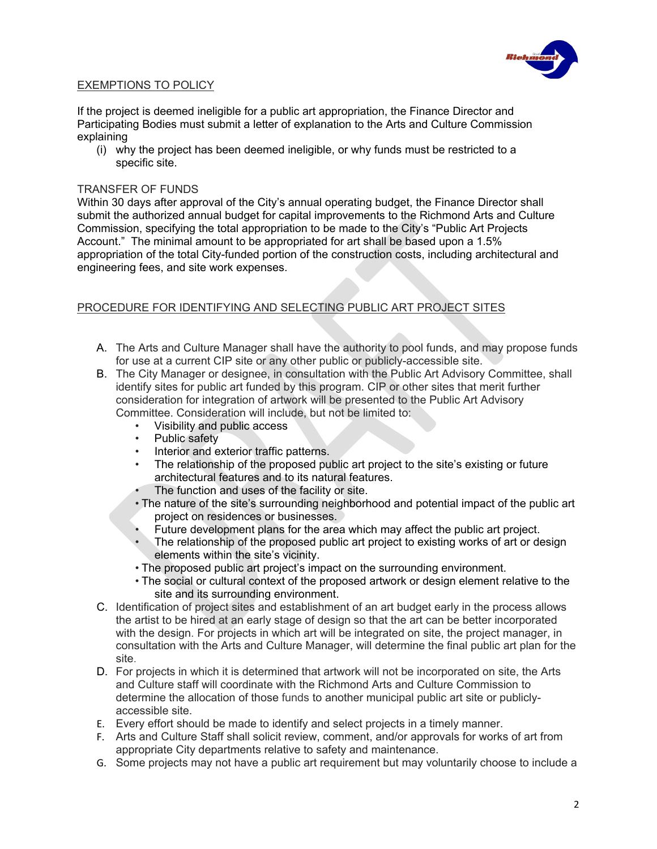

#### EXEMPTIONS TO POLICY

If the project is deemed ineligible for a public art appropriation, the Finance Director and Participating Bodies must submit a letter of explanation to the Arts and Culture Commission explaining

(i) why the project has been deemed ineligible, or why funds must be restricted to a specific site.

#### TRANSFER OF FUNDS

Within 30 days after approval of the City's annual operating budget, the Finance Director shall submit the authorized annual budget for capital improvements to the Richmond Arts and Culture Commission, specifying the total appropriation to be made to the City's "Public Art Projects Account." The minimal amount to be appropriated for art shall be based upon a 1.5% appropriation of the total City-funded portion of the construction costs, including architectural and engineering fees, and site work expenses.

#### PROCEDURE FOR IDENTIFYING AND SELECTING PUBLIC ART PROJECT SITES

- A. The Arts and Culture Manager shall have the authority to pool funds, and may propose funds for use at a current CIP site or any other public or publicly-accessible site.
- B. The City Manager or designee, in consultation with the Public Art Advisory Committee, shall identify sites for public art funded by this program. CIP or other sites that merit further consideration for integration of artwork will be presented to the Public Art Advisory Committee. Consideration will include, but not be limited to:
	- Visibility and public access
	- Public safety
	- Interior and exterior traffic patterns.
	- The relationship of the proposed public art project to the site's existing or future architectural features and to its natural features.
	- The function and uses of the facility or site.
	- The nature of the site's surrounding neighborhood and potential impact of the public art project on residences or businesses.
	- Future development plans for the area which may affect the public art project.
	- The relationship of the proposed public art project to existing works of art or design elements within the site's vicinity.
	- The proposed public art project's impact on the surrounding environment.
	- The social or cultural context of the proposed artwork or design element relative to the site and its surrounding environment.
- C. Identification of project sites and establishment of an art budget early in the process allows the artist to be hired at an early stage of design so that the art can be better incorporated with the design. For projects in which art will be integrated on site, the project manager, in consultation with the Arts and Culture Manager, will determine the final public art plan for the site.
- D. For projects in which it is determined that artwork will not be incorporated on site, the Arts and Culture staff will coordinate with the Richmond Arts and Culture Commission to determine the allocation of those funds to another municipal public art site or publiclyaccessible site.
- E. Every effort should be made to identify and select projects in a timely manner.
- F. Arts and Culture Staff shall solicit review, comment, and/or approvals for works of art from appropriate City departments relative to safety and maintenance.
- G. Some projects may not have a public art requirement but may voluntarily choose to include a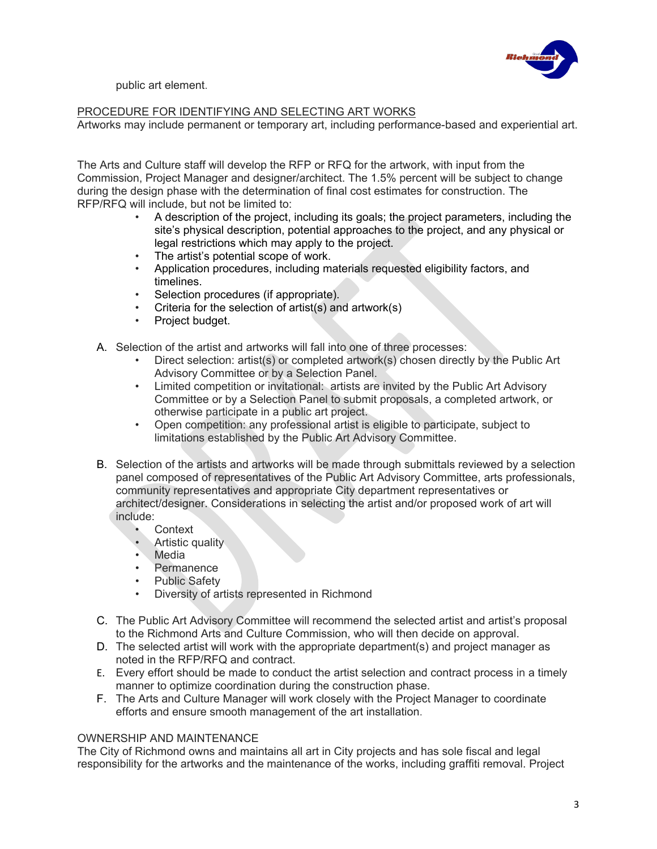

public art element.

#### PROCEDURE FOR IDENTIFYING AND SELECTING ART WORKS

Artworks may include permanent or temporary art, including performance-based and experiential art.

The Arts and Culture staff will develop the RFP or RFQ for the artwork, with input from the Commission, Project Manager and designer/architect. The 1.5% percent will be subject to change during the design phase with the determination of final cost estimates for construction. The RFP/RFQ will include, but not be limited to:

- A description of the project, including its goals; the project parameters, including the site's physical description, potential approaches to the project, and any physical or legal restrictions which may apply to the project.
- The artist's potential scope of work.
- Application procedures, including materials requested eligibility factors, and timelines.
- Selection procedures (if appropriate).
- Criteria for the selection of artist(s) and artwork(s)
- Project budget.
- A. Selection of the artist and artworks will fall into one of three processes:
	- Direct selection: artist(s) or completed artwork(s) chosen directly by the Public Art Advisory Committee or by a Selection Panel.
	- Limited competition or invitational: artists are invited by the Public Art Advisory Committee or by a Selection Panel to submit proposals, a completed artwork, or otherwise participate in a public art project.
	- Open competition: any professional artist is eligible to participate, subject to limitations established by the Public Art Advisory Committee.
- B. Selection of the artists and artworks will be made through submittals reviewed by a selection panel composed of representatives of the Public Art Advisory Committee, arts professionals, community representatives and appropriate City department representatives or architect/designer. Considerations in selecting the artist and/or proposed work of art will include:
	- **Context**
	- **Artistic quality**
	- Media
	- **Permanence**
	- Public Safety
	- Diversity of artists represented in Richmond
- C. The Public Art Advisory Committee will recommend the selected artist and artist's proposal to the Richmond Arts and Culture Commission, who will then decide on approval.
- D. The selected artist will work with the appropriate department(s) and project manager as noted in the RFP/RFQ and contract.
- E. Every effort should be made to conduct the artist selection and contract process in a timely manner to optimize coordination during the construction phase.
- F. The Arts and Culture Manager will work closely with the Project Manager to coordinate efforts and ensure smooth management of the art installation.

#### OWNERSHIP AND MAINTENANCE

The City of Richmond owns and maintains all art in City projects and has sole fiscal and legal responsibility for the artworks and the maintenance of the works, including graffiti removal. Project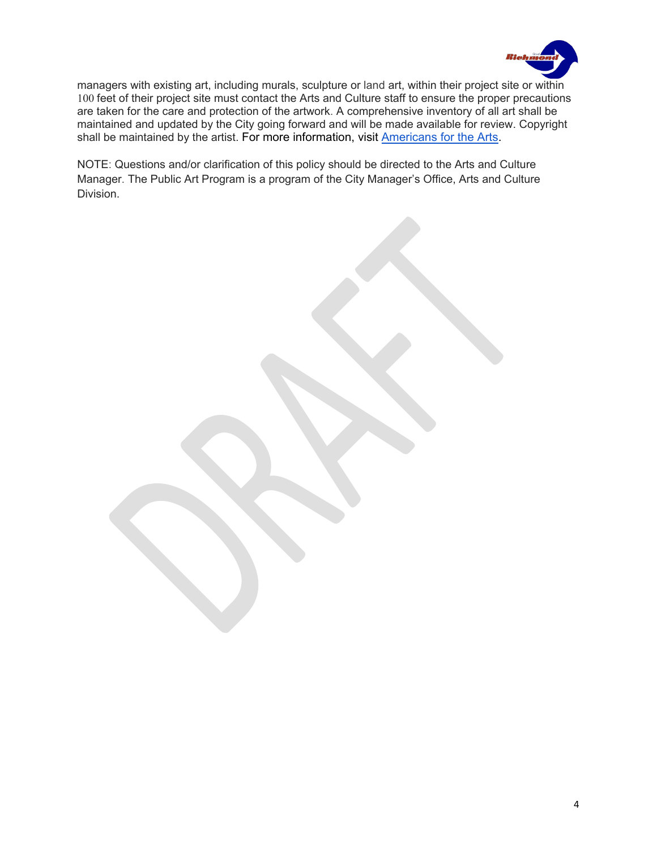

managers with existing art, including murals, sculpture or land art, within their project site or within 100 feet of their project site must contact the Arts and Culture staff to ensure the proper precautions are taken for the care and protection of the artwork. A comprehensive inventory of all art shall be maintained and updated by the City going forward and will be made available for review. Copyright shall be maintained by the artist. For more information, visit [Americans for the Arts.](https://www.americansforthearts.org/by-program/networks-and-councils/public-art-network/faq/who-owns-the-copyright-for-a-public-artwork#:%7E:text=a%20public%20artwork%3F-,Who%20owns%20the%20copyright%20for%20a%20public%20artwork%3F,the%20author%2C%20plus%2070%20years)

NOTE: Questions and/or clarification of this policy should be directed to the Arts and Culture Manager. The Public Art Program is a program of the City Manager's Office, Arts and Culture Division.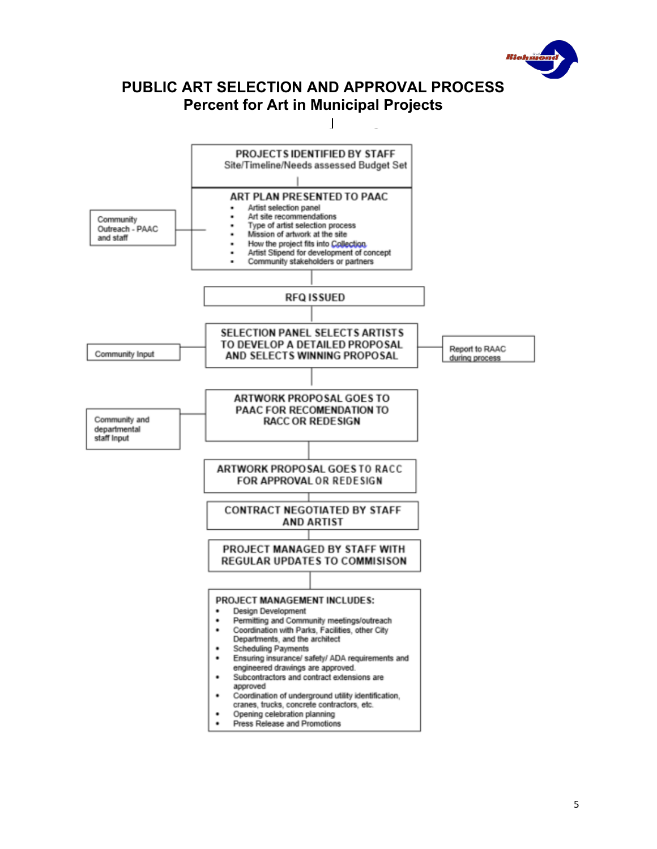

# **PUBLIC ART SELECTION AND APPROVAL PROCESS Percent for Art in Municipal Projects**

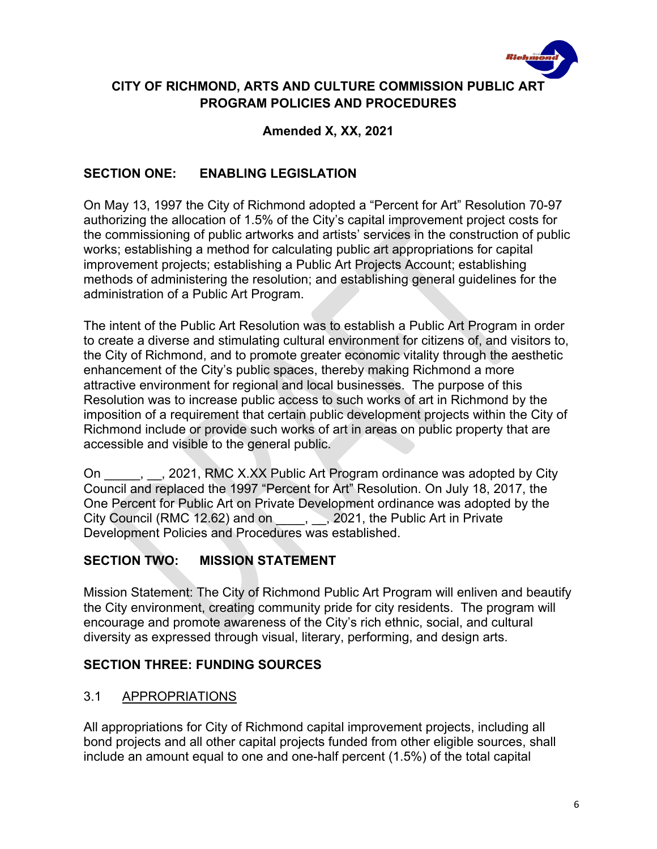

# **CITY OF RICHMOND, ARTS AND CULTURE COMMISSION PUBLIC ART PROGRAM POLICIES AND PROCEDURES**

**Amended X, XX, 2021**

## **SECTION ONE: ENABLING LEGISLATION**

On May 13, 1997 the City of Richmond adopted a "Percent for Art" Resolution 70-97 authorizing the allocation of 1.5% of the City's capital improvement project costs for the commissioning of public artworks and artists' services in the construction of public works; establishing a method for calculating public art appropriations for capital improvement projects; establishing a Public Art Projects Account; establishing methods of administering the resolution; and establishing general guidelines for the administration of a Public Art Program.

The intent of the Public Art Resolution was to establish a Public Art Program in order to create a diverse and stimulating cultural environment for citizens of, and visitors to, the City of Richmond, and to promote greater economic vitality through the aesthetic enhancement of the City's public spaces, thereby making Richmond a more attractive environment for regional and local businesses. The purpose of this Resolution was to increase public access to such works of art in Richmond by the imposition of a requirement that certain public development projects within the City of Richmond include or provide such works of art in areas on public property that are accessible and visible to the general public.

On , Casset , 2021, RMC X.XX Public Art Program ordinance was adopted by City Council and replaced the 1997 "Percent for Art" Resolution. On July 18, 2017, the One Percent for Public Art on Private Development ordinance was adopted by the City Council (RMC 12.62) and on , , 2021, the Public Art in Private Development Policies and Procedures was established.

# **SECTION TWO: MISSION STATEMENT**

Mission Statement: The City of Richmond Public Art Program will enliven and beautify the City environment, creating community pride for city residents. The program will encourage and promote awareness of the City's rich ethnic, social, and cultural diversity as expressed through visual, literary, performing, and design arts.

## **SECTION THREE: FUNDING SOURCES**

## 3.1 APPROPRIATIONS

All appropriations for City of Richmond capital improvement projects, including all bond projects and all other capital projects funded from other eligible sources, shall include an amount equal to one and one-half percent (1.5%) of the total capital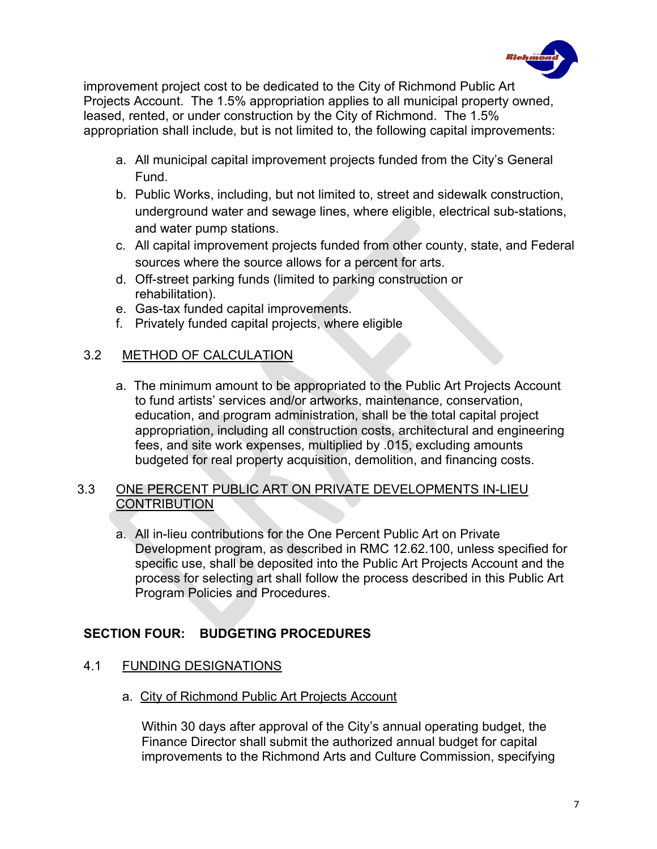

improvement project cost to be dedicated to the City of Richmond Public Art Projects Account. The 1.5% appropriation applies to all municipal property owned, leased, rented, or under construction by the City of Richmond. The 1.5% appropriation shall include, but is not limited to, the following capital improvements:

- a. All municipal capital improvement projects funded from the City's General Fund.
- b. Public Works, including, but not limited to, street and sidewalk construction, underground water and sewage lines, where eligible, electrical sub-stations, and water pump stations.
- c. All capital improvement projects funded from other county, state, and Federal sources where the source allows for a percent for arts.
- d. Off-street parking funds (limited to parking construction or rehabilitation).
- e. Gas-tax funded capital improvements.
- f. Privately funded capital projects, where eligible

## 3.2 METHOD OF CALCULATION

a. The minimum amount to be appropriated to the Public Art Projects Account to fund artists' services and/or artworks, maintenance, conservation, education, and program administration, shall be the total capital project appropriation, including all construction costs, architectural and engineering fees, and site work expenses, multiplied by .015, excluding amounts budgeted for real property acquisition, demolition, and financing costs.

### 3.3 ONE PERCENT PUBLIC ART ON PRIVATE DEVELOPMENTS IN-LIEU **CONTRIBUTION**

a. All in-lieu contributions for the One Percent Public Art on Private Development program, as described in RMC 12.62.100, unless specified for specific use, shall be deposited into the Public Art Projects Account and the process for selecting art shall follow the process described in this Public Art Program Policies and Procedures.

# **SECTION FOUR: BUDGETING PROCEDURES**

### 4.1 FUNDING DESIGNATIONS

a. City of Richmond Public Art Projects Account

Within 30 days after approval of the City's annual operating budget, the Finance Director shall submit the authorized annual budget for capital improvements to the Richmond Arts and Culture Commission, specifying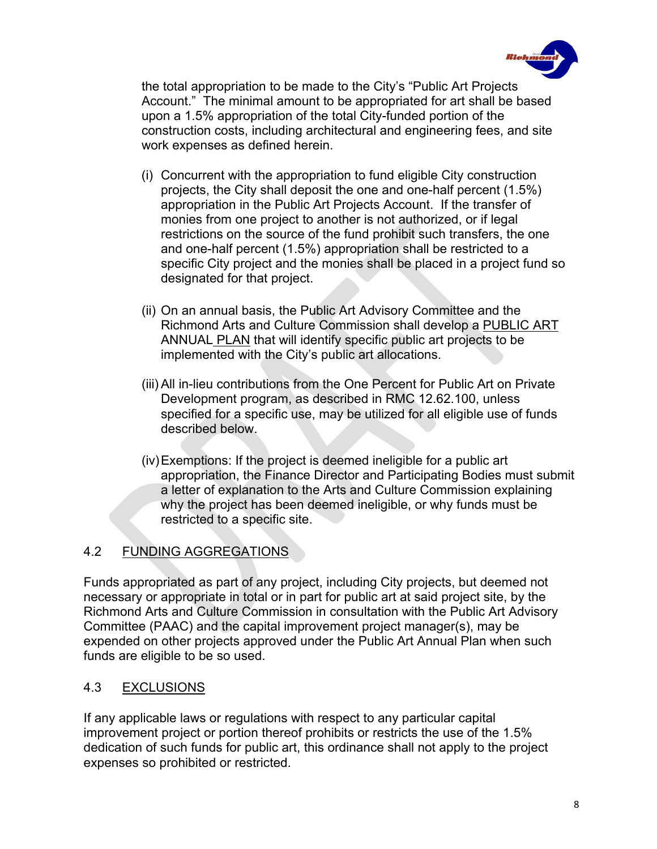

the total appropriation to be made to the City's "Public Art Projects Account." The minimal amount to be appropriated for art shall be based upon a 1.5% appropriation of the total City-funded portion of the construction costs, including architectural and engineering fees, and site work expenses as defined herein.

- (i) Concurrent with the appropriation to fund eligible City construction projects, the City shall deposit the one and one-half percent (1.5%) appropriation in the Public Art Projects Account. If the transfer of monies from one project to another is not authorized, or if legal restrictions on the source of the fund prohibit such transfers, the one and one-half percent (1.5%) appropriation shall be restricted to a specific City project and the monies shall be placed in a project fund so designated for that project.
- (ii) On an annual basis, the Public Art Advisory Committee and the Richmond Arts and Culture Commission shall develop a PUBLIC ART ANNUAL PLAN that will identify specific public art projects to be implemented with the City's public art allocations.
- (iii) All in-lieu contributions from the One Percent for Public Art on Private Development program, as described in RMC 12.62.100, unless specified for a specific use, may be utilized for all eligible use of funds described below.
- (iv)Exemptions: If the project is deemed ineligible for a public art appropriation, the Finance Director and Participating Bodies must submit a letter of explanation to the Arts and Culture Commission explaining why the project has been deemed ineligible, or why funds must be restricted to a specific site.

# 4.2 FUNDING AGGREGATIONS

Funds appropriated as part of any project, including City projects, but deemed not necessary or appropriate in total or in part for public art at said project site, by the Richmond Arts and Culture Commission in consultation with the Public Art Advisory Committee (PAAC) and the capital improvement project manager(s), may be expended on other projects approved under the Public Art Annual Plan when such funds are eligible to be so used.

## 4.3 EXCLUSIONS

If any applicable laws or regulations with respect to any particular capital improvement project or portion thereof prohibits or restricts the use of the 1.5% dedication of such funds for public art, this ordinance shall not apply to the project expenses so prohibited or restricted.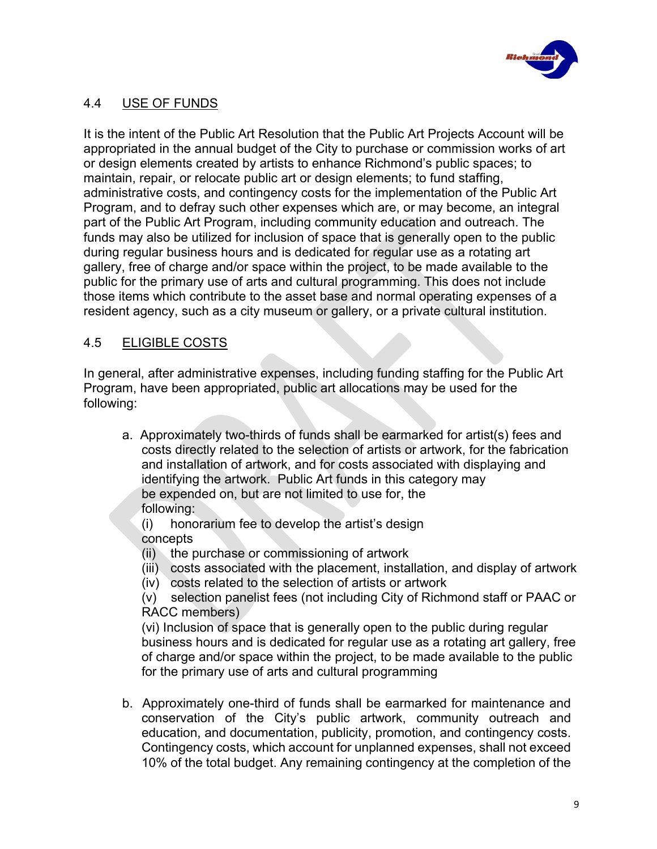

## 4.4 USE OF FUNDS

It is the intent of the Public Art Resolution that the Public Art Projects Account will be appropriated in the annual budget of the City to purchase or commission works of art or design elements created by artists to enhance Richmond's public spaces; to maintain, repair, or relocate public art or design elements; to fund staffing, administrative costs, and contingency costs for the implementation of the Public Art Program, and to defray such other expenses which are, or may become, an integral part of the Public Art Program, including community education and outreach. The funds may also be utilized for inclusion of space that is generally open to the public during regular business hours and is dedicated for regular use as a rotating art gallery, free of charge and/or space within the project, to be made available to the public for the primary use of arts and cultural programming. This does not include those items which contribute to the asset base and normal operating expenses of a resident agency, such as a city museum or gallery, or a private cultural institution.

# 4.5 ELIGIBLE COSTS

In general, after administrative expenses, including funding staffing for the Public Art Program, have been appropriated, public art allocations may be used for the following:

- a. Approximately two-thirds of funds shall be earmarked for artist(s) fees and costs directly related to the selection of artists or artwork, for the fabrication and installation of artwork, and for costs associated with displaying and identifying the artwork. Public Art funds in this category may be expended on, but are not limited to use for, the following:
	- (i) honorarium fee to develop the artist's design concepts
	- (ii) the purchase or commissioning of artwork
	- (iii) costs associated with the placement, installation, and display of artwork
	- (iv) costs related to the selection of artists or artwork

(v) selection panelist fees (not including City of Richmond staff or PAAC or RACC members)

(vi) Inclusion of space that is generally open to the public during regular business hours and is dedicated for regular use as a rotating art gallery, free of charge and/or space within the project, to be made available to the public for the primary use of arts and cultural programming

b. Approximately one-third of funds shall be earmarked for maintenance and conservation of the City's public artwork, community outreach and education, and documentation, publicity, promotion, and contingency costs. Contingency costs, which account for unplanned expenses, shall not exceed 10% of the total budget. Any remaining contingency at the completion of the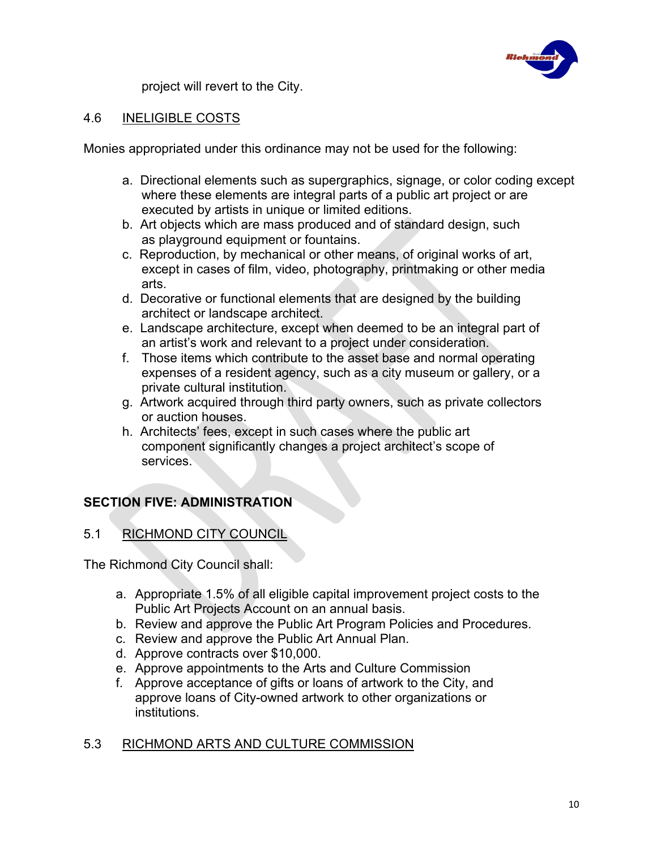

project will revert to the City.

## 4.6 INELIGIBLE COSTS

Monies appropriated under this ordinance may not be used for the following:

- a. Directional elements such as supergraphics, signage, or color coding except where these elements are integral parts of a public art project or are executed by artists in unique or limited editions.
- b. Art objects which are mass produced and of standard design, such as playground equipment or fountains.
- c. Reproduction, by mechanical or other means, of original works of art, except in cases of film, video, photography, printmaking or other media arts.
- d. Decorative or functional elements that are designed by the building architect or landscape architect.
- e. Landscape architecture, except when deemed to be an integral part of an artist's work and relevant to a project under consideration.
- f. Those items which contribute to the asset base and normal operating expenses of a resident agency, such as a city museum or gallery, or a private cultural institution.
- g. Artwork acquired through third party owners, such as private collectors or auction houses.
- h. Architects' fees, except in such cases where the public art component significantly changes a project architect's scope of services.

# **SECTION FIVE: ADMINISTRATION**

## 5.1 RICHMOND CITY COUNCIL

The Richmond City Council shall:

- a. Appropriate 1.5% of all eligible capital improvement project costs to the Public Art Projects Account on an annual basis.
- b. Review and approve the Public Art Program Policies and Procedures.
- c. Review and approve the Public Art Annual Plan.
- d. Approve contracts over \$10,000.
- e. Approve appointments to the Arts and Culture Commission
- f. Approve acceptance of gifts or loans of artwork to the City, and approve loans of City-owned artwork to other organizations or institutions.

### 5.3 RICHMOND ARTS AND CULTURE COMMISSION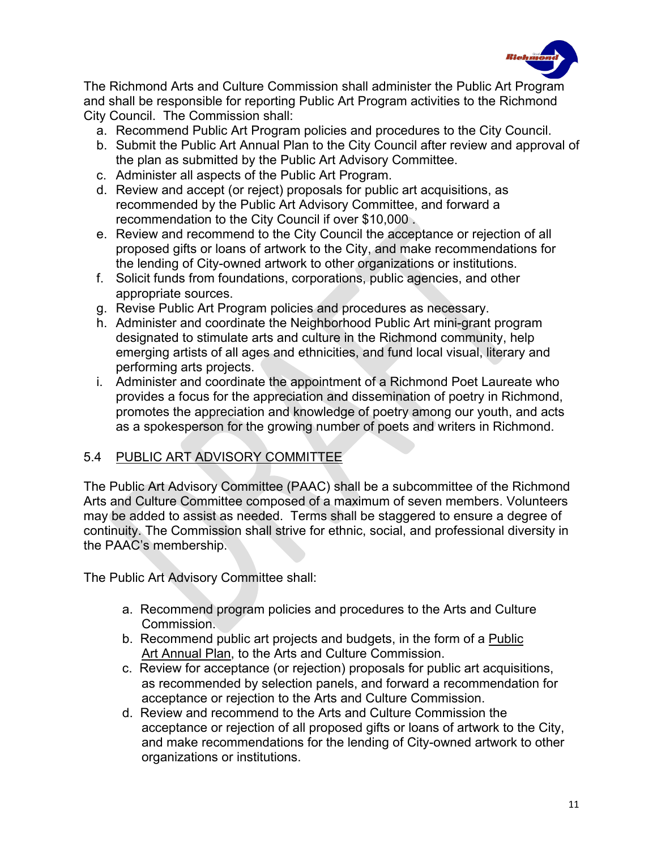

The Richmond Arts and Culture Commission shall administer the Public Art Program and shall be responsible for reporting Public Art Program activities to the Richmond City Council. The Commission shall:

- a. Recommend Public Art Program policies and procedures to the City Council.
- b. Submit the Public Art Annual Plan to the City Council after review and approval of the plan as submitted by the Public Art Advisory Committee.
- c. Administer all aspects of the Public Art Program.
- d. Review and accept (or reject) proposals for public art acquisitions, as recommended by the Public Art Advisory Committee, and forward a recommendation to the City Council if over \$10,000 .
- e. Review and recommend to the City Council the acceptance or rejection of all proposed gifts or loans of artwork to the City, and make recommendations for the lending of City-owned artwork to other organizations or institutions.
- f. Solicit funds from foundations, corporations, public agencies, and other appropriate sources.
- g. Revise Public Art Program policies and procedures as necessary.
- h. Administer and coordinate the Neighborhood Public Art mini-grant program designated to stimulate arts and culture in the Richmond community, help emerging artists of all ages and ethnicities, and fund local visual, literary and performing arts projects.
- i. Administer and coordinate the appointment of a Richmond Poet Laureate who provides a focus for the appreciation and dissemination of poetry in Richmond, promotes the appreciation and knowledge of poetry among our youth, and acts as a spokesperson for the growing number of poets and writers in Richmond.

## 5.4 PUBLIC ART ADVISORY COMMITTEE

The Public Art Advisory Committee (PAAC) shall be a subcommittee of the Richmond Arts and Culture Committee composed of a maximum of seven members. Volunteers may be added to assist as needed. Terms shall be staggered to ensure a degree of continuity. The Commission shall strive for ethnic, social, and professional diversity in the PAAC's membership.

The Public Art Advisory Committee shall:

- a. Recommend program policies and procedures to the Arts and Culture Commission.
- b. Recommend public art projects and budgets, in the form of a Public Art Annual Plan, to the Arts and Culture Commission.
- c. Review for acceptance (or rejection) proposals for public art acquisitions, as recommended by selection panels, and forward a recommendation for acceptance or rejection to the Arts and Culture Commission.
- d. Review and recommend to the Arts and Culture Commission the acceptance or rejection of all proposed gifts or loans of artwork to the City, and make recommendations for the lending of City-owned artwork to other organizations or institutions.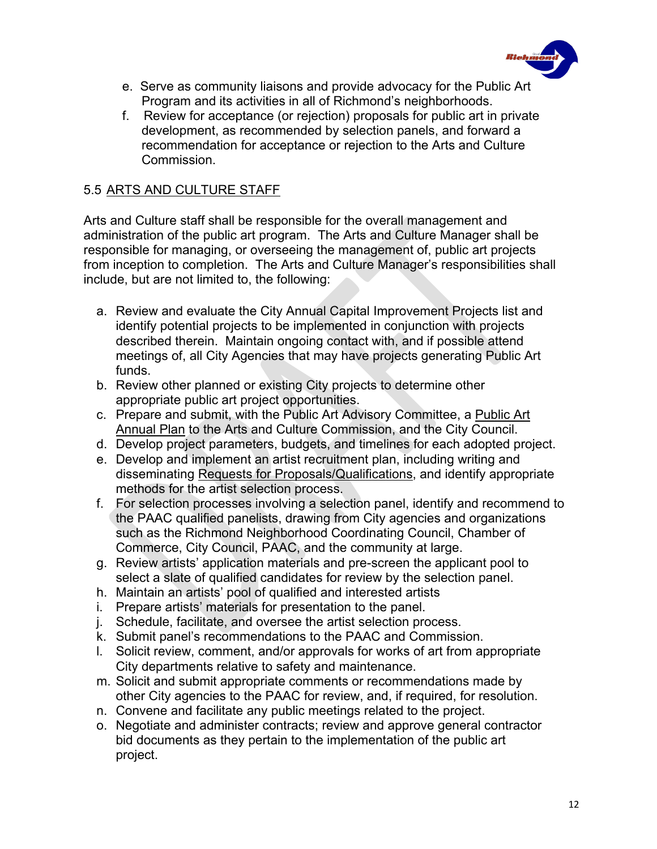

- e. Serve as community liaisons and provide advocacy for the Public Art Program and its activities in all of Richmond's neighborhoods.
- f. Review for acceptance (or rejection) proposals for public art in private development, as recommended by selection panels, and forward a recommendation for acceptance or rejection to the Arts and Culture Commission.

### 5.5 ARTS AND CULTURE STAFF

Arts and Culture staff shall be responsible for the overall management and administration of the public art program. The Arts and Culture Manager shall be responsible for managing, or overseeing the management of, public art projects from inception to completion. The Arts and Culture Manager's responsibilities shall include, but are not limited to, the following:

- a. Review and evaluate the City Annual Capital Improvement Projects list and identify potential projects to be implemented in conjunction with projects described therein. Maintain ongoing contact with, and if possible attend meetings of, all City Agencies that may have projects generating Public Art funds.
- b. Review other planned or existing City projects to determine other appropriate public art project opportunities.
- c. Prepare and submit, with the Public Art Advisory Committee, a Public Art Annual Plan to the Arts and Culture Commission, and the City Council.
- d. Develop project parameters, budgets, and timelines for each adopted project.
- e. Develop and implement an artist recruitment plan, including writing and disseminating Requests for Proposals/Qualifications, and identify appropriate methods for the artist selection process.
- f. For selection processes involving a selection panel, identify and recommend to the PAAC qualified panelists, drawing from City agencies and organizations such as the Richmond Neighborhood Coordinating Council, Chamber of Commerce, City Council, PAAC, and the community at large.
- g. Review artists' application materials and pre-screen the applicant pool to select a slate of qualified candidates for review by the selection panel.
- h. Maintain an artists' pool of qualified and interested artists
- i. Prepare artists' materials for presentation to the panel.
- j. Schedule, facilitate, and oversee the artist selection process.
- k. Submit panel's recommendations to the PAAC and Commission.
- l. Solicit review, comment, and/or approvals for works of art from appropriate City departments relative to safety and maintenance.
- m. Solicit and submit appropriate comments or recommendations made by other City agencies to the PAAC for review, and, if required, for resolution.
- n. Convene and facilitate any public meetings related to the project.
- o. Negotiate and administer contracts; review and approve general contractor bid documents as they pertain to the implementation of the public art project.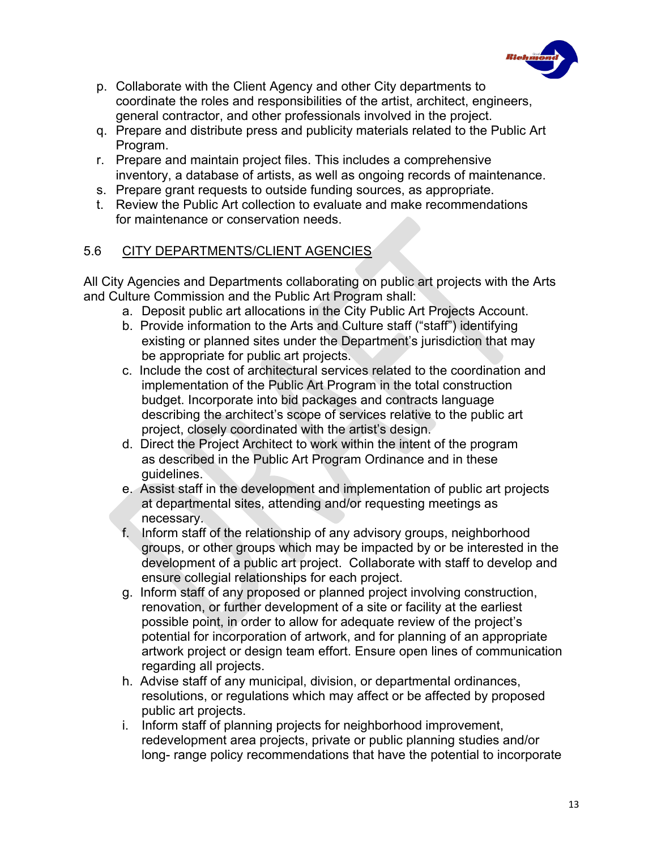

- p. Collaborate with the Client Agency and other City departments to coordinate the roles and responsibilities of the artist, architect, engineers, general contractor, and other professionals involved in the project.
- q. Prepare and distribute press and publicity materials related to the Public Art Program.
- r. Prepare and maintain project files. This includes a comprehensive inventory, a database of artists, as well as ongoing records of maintenance.
- s. Prepare grant requests to outside funding sources, as appropriate.
- t. Review the Public Art collection to evaluate and make recommendations for maintenance or conservation needs.

## 5.6 CITY DEPARTMENTS/CLIENT AGENCIES

All City Agencies and Departments collaborating on public art projects with the Arts and Culture Commission and the Public Art Program shall:

- a. Deposit public art allocations in the City Public Art Projects Account.
- b. Provide information to the Arts and Culture staff ("staff") identifying existing or planned sites under the Department's jurisdiction that may be appropriate for public art projects.
- c. Include the cost of architectural services related to the coordination and implementation of the Public Art Program in the total construction budget. Incorporate into bid packages and contracts language describing the architect's scope of services relative to the public art project, closely coordinated with the artist's design.
- d. Direct the Project Architect to work within the intent of the program as described in the Public Art Program Ordinance and in these guidelines.
- e. Assist staff in the development and implementation of public art projects at departmental sites, attending and/or requesting meetings as necessary.
- f. Inform staff of the relationship of any advisory groups, neighborhood groups, or other groups which may be impacted by or be interested in the development of a public art project. Collaborate with staff to develop and ensure collegial relationships for each project.
- g. Inform staff of any proposed or planned project involving construction, renovation, or further development of a site or facility at the earliest possible point, in order to allow for adequate review of the project's potential for incorporation of artwork, and for planning of an appropriate artwork project or design team effort. Ensure open lines of communication regarding all projects.
- h. Advise staff of any municipal, division, or departmental ordinances, resolutions, or regulations which may affect or be affected by proposed public art projects.
- i. Inform staff of planning projects for neighborhood improvement, redevelopment area projects, private or public planning studies and/or long- range policy recommendations that have the potential to incorporate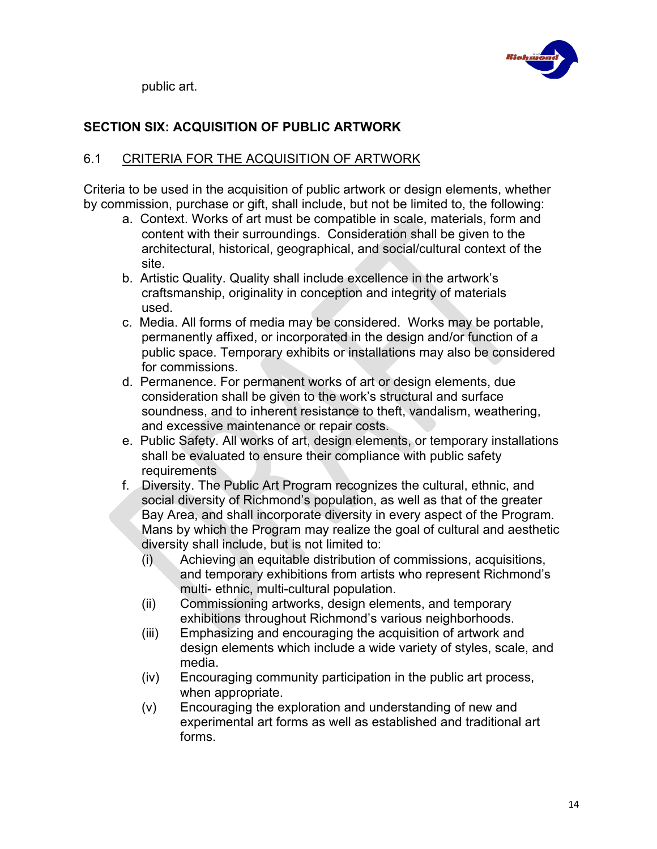

public art.

# **SECTION SIX: ACQUISITION OF PUBLIC ARTWORK**

## 6.1 CRITERIA FOR THE ACQUISITION OF ARTWORK

Criteria to be used in the acquisition of public artwork or design elements, whether by commission, purchase or gift, shall include, but not be limited to, the following:

- a. Context. Works of art must be compatible in scale, materials, form and content with their surroundings. Consideration shall be given to the architectural, historical, geographical, and social/cultural context of the site.
- b. Artistic Quality. Quality shall include excellence in the artwork's craftsmanship, originality in conception and integrity of materials used.
- c. Media. All forms of media may be considered. Works may be portable, permanently affixed, or incorporated in the design and/or function of a public space. Temporary exhibits or installations may also be considered for commissions.
- d. Permanence. For permanent works of art or design elements, due consideration shall be given to the work's structural and surface soundness, and to inherent resistance to theft, vandalism, weathering, and excessive maintenance or repair costs.
- e. Public Safety. All works of art, design elements, or temporary installations shall be evaluated to ensure their compliance with public safety requirements
- f. Diversity. The Public Art Program recognizes the cultural, ethnic, and social diversity of Richmond's population, as well as that of the greater Bay Area, and shall incorporate diversity in every aspect of the Program. Mans by which the Program may realize the goal of cultural and aesthetic diversity shall include, but is not limited to:
	- (i) Achieving an equitable distribution of commissions, acquisitions, and temporary exhibitions from artists who represent Richmond's multi- ethnic, multi-cultural population.
	- (ii) Commissioning artworks, design elements, and temporary exhibitions throughout Richmond's various neighborhoods.
	- (iii) Emphasizing and encouraging the acquisition of artwork and design elements which include a wide variety of styles, scale, and media.
	- (iv) Encouraging community participation in the public art process, when appropriate.
	- (v) Encouraging the exploration and understanding of new and experimental art forms as well as established and traditional art forms.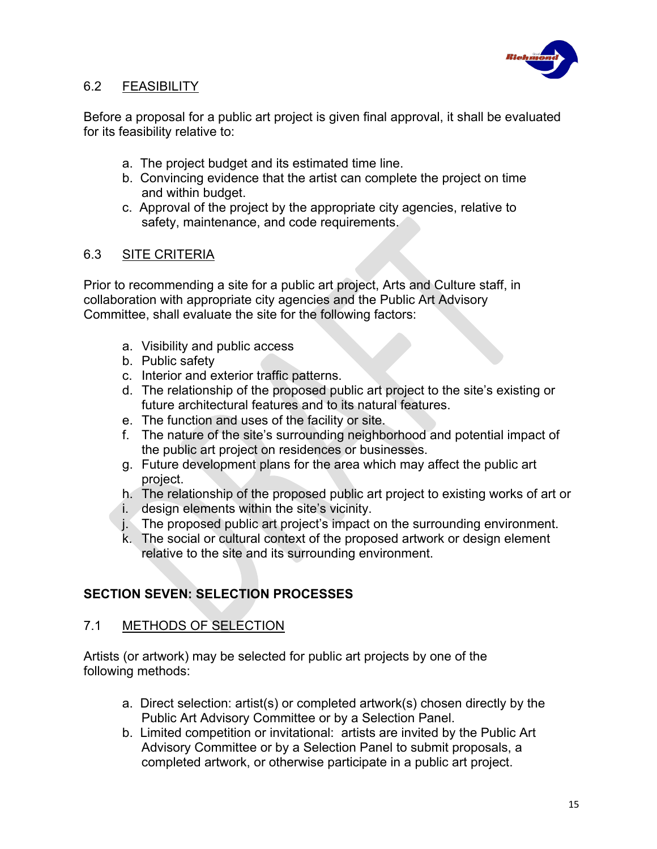

## 6.2 FEASIBILITY

Before a proposal for a public art project is given final approval, it shall be evaluated for its feasibility relative to:

- a. The project budget and its estimated time line.
- b. Convincing evidence that the artist can complete the project on time and within budget.
- c. Approval of the project by the appropriate city agencies, relative to safety, maintenance, and code requirements.

## 6.3 SITE CRITERIA

Prior to recommending a site for a public art project, Arts and Culture staff, in collaboration with appropriate city agencies and the Public Art Advisory Committee, shall evaluate the site for the following factors:

- a. Visibility and public access
- b. Public safety
- c. Interior and exterior traffic patterns.
- d. The relationship of the proposed public art project to the site's existing or future architectural features and to its natural features.
- e. The function and uses of the facility or site.
- f. The nature of the site's surrounding neighborhood and potential impact of the public art project on residences or businesses.
- g. Future development plans for the area which may affect the public art project.
- h. The relationship of the proposed public art project to existing works of art or
- i. design elements within the site's vicinity.
- j. The proposed public art project's impact on the surrounding environment.
- k. The social or cultural context of the proposed artwork or design element relative to the site and its surrounding environment.

# **SECTION SEVEN: SELECTION PROCESSES**

## 7.1 METHODS OF SELECTION

Artists (or artwork) may be selected for public art projects by one of the following methods:

- a. Direct selection: artist(s) or completed artwork(s) chosen directly by the Public Art Advisory Committee or by a Selection Panel.
- b. Limited competition or invitational: artists are invited by the Public Art Advisory Committee or by a Selection Panel to submit proposals, a completed artwork, or otherwise participate in a public art project.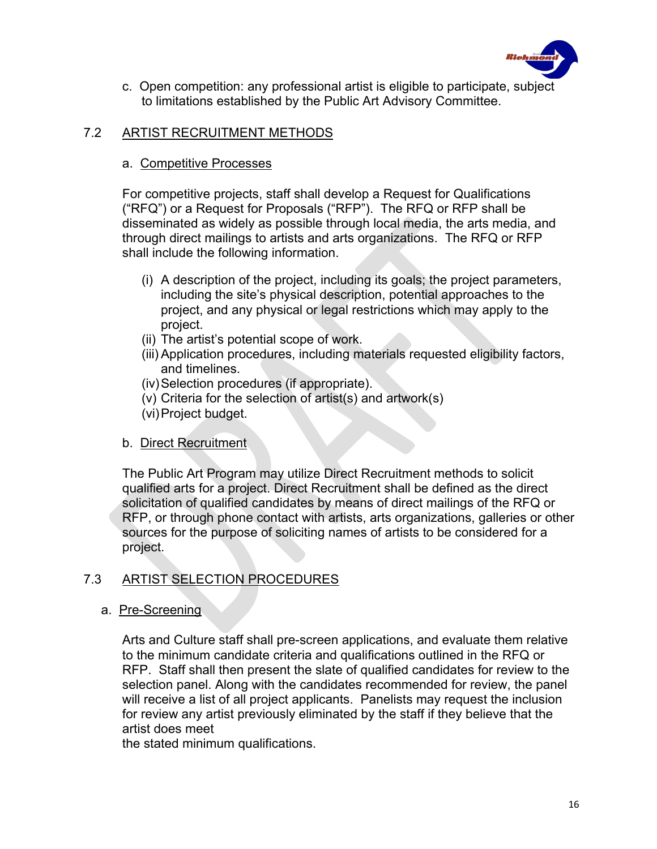

c. Open competition: any professional artist is eligible to participate, subject to limitations established by the Public Art Advisory Committee.

### 7.2 ARTIST RECRUITMENT METHODS

### a. Competitive Processes

For competitive projects, staff shall develop a Request for Qualifications ("RFQ") or a Request for Proposals ("RFP"). The RFQ or RFP shall be disseminated as widely as possible through local media, the arts media, and through direct mailings to artists and arts organizations. The RFQ or RFP shall include the following information.

- (i) A description of the project, including its goals; the project parameters, including the site's physical description, potential approaches to the project, and any physical or legal restrictions which may apply to the project.
- (ii) The artist's potential scope of work.
- (iii) Application procedures, including materials requested eligibility factors, and timelines.
- (iv)Selection procedures (if appropriate).
- (v) Criteria for the selection of artist(s) and artwork(s)
- (vi)Project budget.

### b. Direct Recruitment

The Public Art Program may utilize Direct Recruitment methods to solicit qualified arts for a project. Direct Recruitment shall be defined as the direct solicitation of qualified candidates by means of direct mailings of the RFQ or RFP, or through phone contact with artists, arts organizations, galleries or other sources for the purpose of soliciting names of artists to be considered for a project.

## 7.3 ARTIST SELECTION PROCEDURES

### a. Pre-Screening

Arts and Culture staff shall pre-screen applications, and evaluate them relative to the minimum candidate criteria and qualifications outlined in the RFQ or RFP. Staff shall then present the slate of qualified candidates for review to the selection panel. Along with the candidates recommended for review, the panel will receive a list of all project applicants. Panelists may request the inclusion for review any artist previously eliminated by the staff if they believe that the artist does meet

the stated minimum qualifications.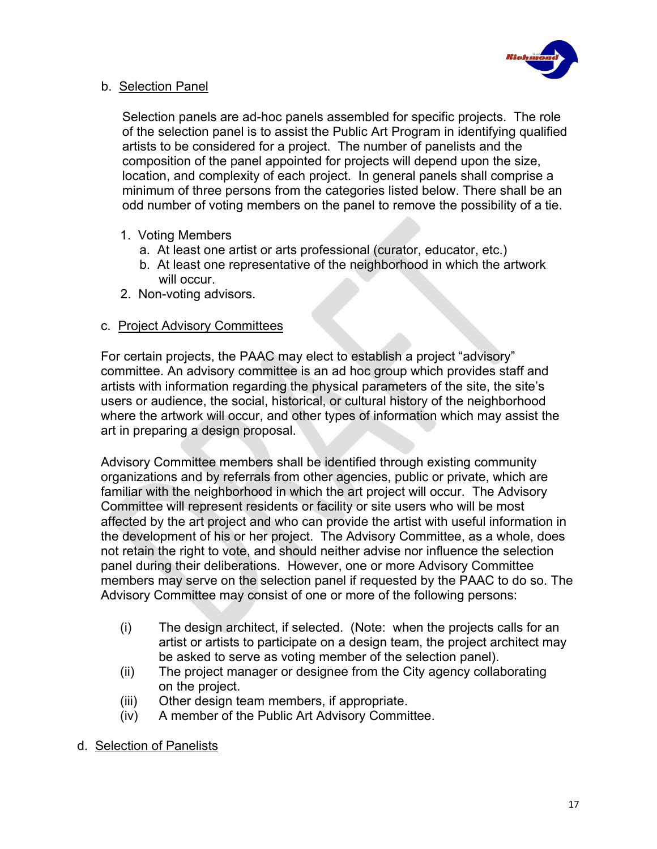

### b. Selection Panel

Selection panels are ad-hoc panels assembled for specific projects. The role of the selection panel is to assist the Public Art Program in identifying qualified artists to be considered for a project. The number of panelists and the composition of the panel appointed for projects will depend upon the size, location, and complexity of each project. In general panels shall comprise a minimum of three persons from the categories listed below. There shall be an odd number of voting members on the panel to remove the possibility of a tie.

- 1. Voting Members
	- a. At least one artist or arts professional (curator, educator, etc.)
	- b. At least one representative of the neighborhood in which the artwork will occur.
- 2. Non-voting advisors.

### c. Project Advisory Committees

For certain projects, the PAAC may elect to establish a project "advisory" committee. An advisory committee is an ad hoc group which provides staff and artists with information regarding the physical parameters of the site, the site's users or audience, the social, historical, or cultural history of the neighborhood where the artwork will occur, and other types of information which may assist the art in preparing a design proposal.

Advisory Committee members shall be identified through existing community organizations and by referrals from other agencies, public or private, which are familiar with the neighborhood in which the art project will occur. The Advisory Committee will represent residents or facility or site users who will be most affected by the art project and who can provide the artist with useful information in the development of his or her project. The Advisory Committee, as a whole, does not retain the right to vote, and should neither advise nor influence the selection panel during their deliberations. However, one or more Advisory Committee members may serve on the selection panel if requested by the PAAC to do so. The Advisory Committee may consist of one or more of the following persons:

- (i) The design architect, if selected. (Note: when the projects calls for an artist or artists to participate on a design team, the project architect may be asked to serve as voting member of the selection panel).
- (ii) The project manager or designee from the City agency collaborating on the project.
- (iii) Other design team members, if appropriate.
- (iv) A member of the Public Art Advisory Committee.
- d. Selection of Panelists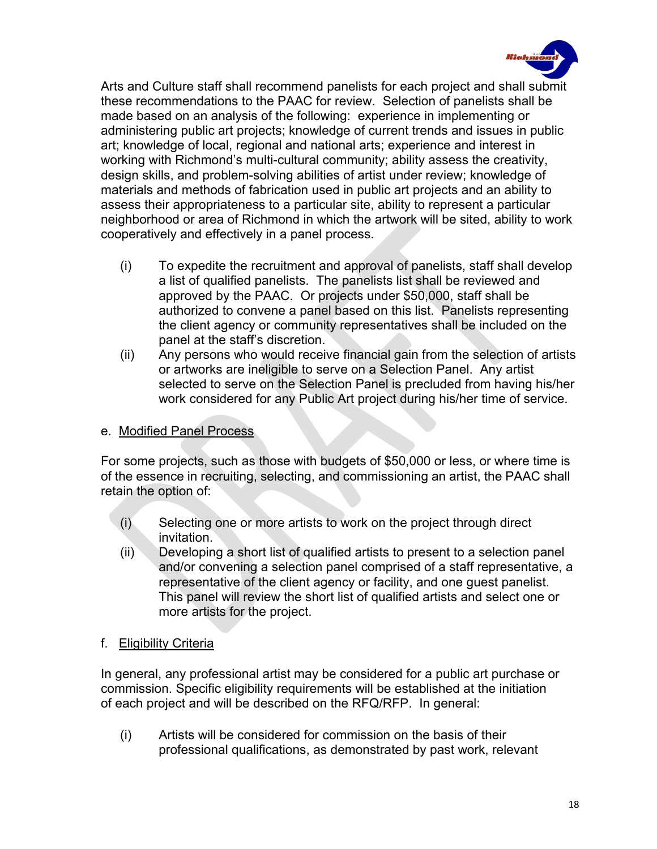

Arts and Culture staff shall recommend panelists for each project and shall submit these recommendations to the PAAC for review. Selection of panelists shall be made based on an analysis of the following: experience in implementing or administering public art projects; knowledge of current trends and issues in public art; knowledge of local, regional and national arts; experience and interest in working with Richmond's multi-cultural community; ability assess the creativity, design skills, and problem-solving abilities of artist under review; knowledge of materials and methods of fabrication used in public art projects and an ability to assess their appropriateness to a particular site, ability to represent a particular neighborhood or area of Richmond in which the artwork will be sited, ability to work cooperatively and effectively in a panel process.

- (i) To expedite the recruitment and approval of panelists, staff shall develop a list of qualified panelists. The panelists list shall be reviewed and approved by the PAAC. Or projects under \$50,000, staff shall be authorized to convene a panel based on this list. Panelists representing the client agency or community representatives shall be included on the panel at the staff's discretion.
- (ii) Any persons who would receive financial gain from the selection of artists or artworks are ineligible to serve on a Selection Panel. Any artist selected to serve on the Selection Panel is precluded from having his/her work considered for any Public Art project during his/her time of service.

### e. Modified Panel Process

For some projects, such as those with budgets of \$50,000 or less, or where time is of the essence in recruiting, selecting, and commissioning an artist, the PAAC shall retain the option of:

- (i) Selecting one or more artists to work on the project through direct invitation.
- (ii) Developing a short list of qualified artists to present to a selection panel and/or convening a selection panel comprised of a staff representative, a representative of the client agency or facility, and one guest panelist. This panel will review the short list of qualified artists and select one or more artists for the project.
- f. Eligibility Criteria

In general, any professional artist may be considered for a public art purchase or commission. Specific eligibility requirements will be established at the initiation of each project and will be described on the RFQ/RFP. In general:

(i) Artists will be considered for commission on the basis of their professional qualifications, as demonstrated by past work, relevant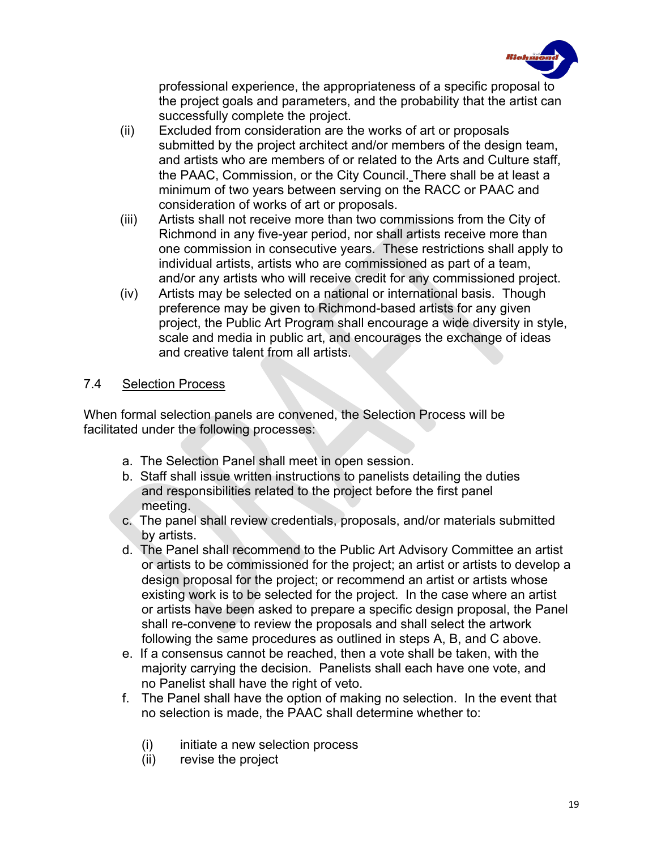

professional experience, the appropriateness of a specific proposal to the project goals and parameters, and the probability that the artist can successfully complete the project.

- (ii) Excluded from consideration are the works of art or proposals submitted by the project architect and/or members of the design team, and artists who are members of or related to the Arts and Culture staff, the PAAC, Commission, or the City Council. There shall be at least a minimum of two years between serving on the RACC or PAAC and consideration of works of art or proposals.
- (iii) Artists shall not receive more than two commissions from the City of Richmond in any five-year period, nor shall artists receive more than one commission in consecutive years. These restrictions shall apply to individual artists, artists who are commissioned as part of a team, and/or any artists who will receive credit for any commissioned project.
- (iv) Artists may be selected on a national or international basis. Though preference may be given to Richmond-based artists for any given project, the Public Art Program shall encourage a wide diversity in style, scale and media in public art, and encourages the exchange of ideas and creative talent from all artists.

## 7.4 Selection Process

When formal selection panels are convened, the Selection Process will be facilitated under the following processes:

- a. The Selection Panel shall meet in open session.
- b. Staff shall issue written instructions to panelists detailing the duties and responsibilities related to the project before the first panel meeting.
- c. The panel shall review credentials, proposals, and/or materials submitted by artists.
- d. The Panel shall recommend to the Public Art Advisory Committee an artist or artists to be commissioned for the project; an artist or artists to develop a design proposal for the project; or recommend an artist or artists whose existing work is to be selected for the project. In the case where an artist or artists have been asked to prepare a specific design proposal, the Panel shall re-convene to review the proposals and shall select the artwork following the same procedures as outlined in steps A, B, and C above.
- e. If a consensus cannot be reached, then a vote shall be taken, with the majority carrying the decision. Panelists shall each have one vote, and no Panelist shall have the right of veto.
- f. The Panel shall have the option of making no selection. In the event that no selection is made, the PAAC shall determine whether to:
	- (i) initiate a new selection process
	- (ii) revise the project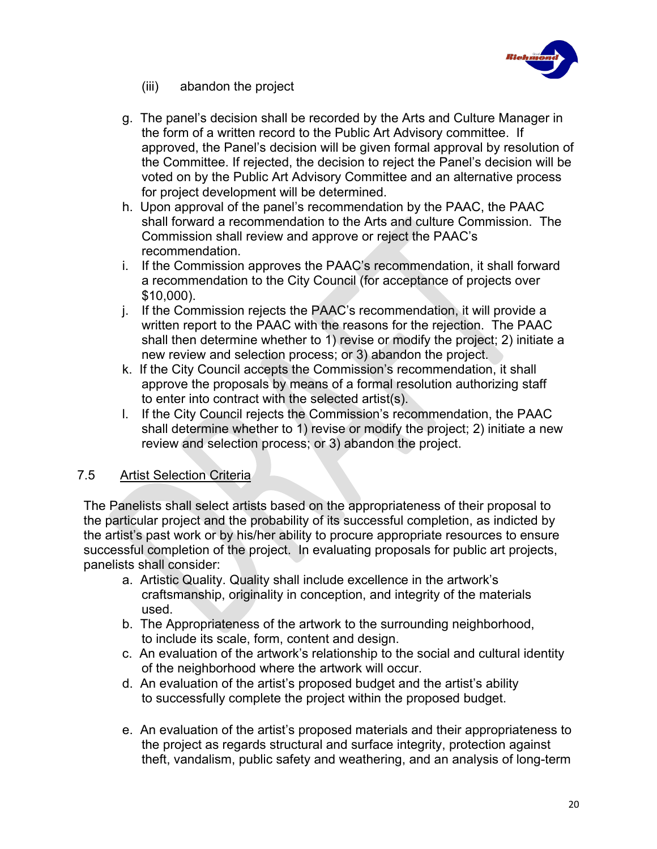

- (iii) abandon the project
- g. The panel's decision shall be recorded by the Arts and Culture Manager in the form of a written record to the Public Art Advisory committee. If approved, the Panel's decision will be given formal approval by resolution of the Committee. If rejected, the decision to reject the Panel's decision will be voted on by the Public Art Advisory Committee and an alternative process for project development will be determined.
- h. Upon approval of the panel's recommendation by the PAAC, the PAAC shall forward a recommendation to the Arts and culture Commission. The Commission shall review and approve or reject the PAAC's recommendation.
- i. If the Commission approves the PAAC's recommendation, it shall forward a recommendation to the City Council (for acceptance of projects over \$10,000).
- j. If the Commission rejects the PAAC's recommendation, it will provide a written report to the PAAC with the reasons for the rejection. The PAAC shall then determine whether to 1) revise or modify the project; 2) initiate a new review and selection process; or 3) abandon the project.
- k. If the City Council accepts the Commission's recommendation, it shall approve the proposals by means of a formal resolution authorizing staff to enter into contract with the selected artist(s).
- l. If the City Council rejects the Commission's recommendation, the PAAC shall determine whether to 1) revise or modify the project; 2) initiate a new review and selection process; or 3) abandon the project.

### 7.5 Artist Selection Criteria

The Panelists shall select artists based on the appropriateness of their proposal to the particular project and the probability of its successful completion, as indicted by the artist's past work or by his/her ability to procure appropriate resources to ensure successful completion of the project. In evaluating proposals for public art projects, panelists shall consider:

- a. Artistic Quality. Quality shall include excellence in the artwork's craftsmanship, originality in conception, and integrity of the materials used.
- b. The Appropriateness of the artwork to the surrounding neighborhood, to include its scale, form, content and design.
- c. An evaluation of the artwork's relationship to the social and cultural identity of the neighborhood where the artwork will occur.
- d. An evaluation of the artist's proposed budget and the artist's ability to successfully complete the project within the proposed budget.
- e. An evaluation of the artist's proposed materials and their appropriateness to the project as regards structural and surface integrity, protection against theft, vandalism, public safety and weathering, and an analysis of long-term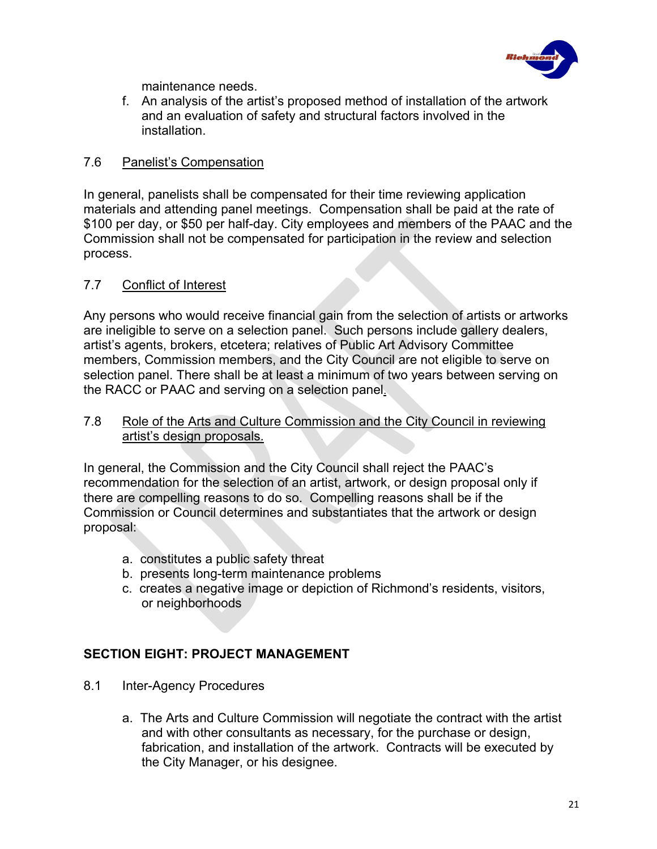

maintenance needs.

f. An analysis of the artist's proposed method of installation of the artwork and an evaluation of safety and structural factors involved in the installation.

## 7.6 Panelist's Compensation

In general, panelists shall be compensated for their time reviewing application materials and attending panel meetings. Compensation shall be paid at the rate of \$100 per day, or \$50 per half-day. City employees and members of the PAAC and the Commission shall not be compensated for participation in the review and selection process.

## 7.7 Conflict of Interest

Any persons who would receive financial gain from the selection of artists or artworks are ineligible to serve on a selection panel. Such persons include gallery dealers, artist's agents, brokers, etcetera; relatives of Public Art Advisory Committee members, Commission members, and the City Council are not eligible to serve on selection panel. There shall be at least a minimum of two years between serving on the RACC or PAAC and serving on a selection panel.

### 7.8 Role of the Arts and Culture Commission and the City Council in reviewing artist's design proposals.

In general, the Commission and the City Council shall reject the PAAC's recommendation for the selection of an artist, artwork, or design proposal only if there are compelling reasons to do so. Compelling reasons shall be if the Commission or Council determines and substantiates that the artwork or design proposal:

- a. constitutes a public safety threat
- b. presents long-term maintenance problems
- c. creates a negative image or depiction of Richmond's residents, visitors, or neighborhoods

## **SECTION EIGHT: PROJECT MANAGEMENT**

- 8.1 Inter-Agency Procedures
	- a. The Arts and Culture Commission will negotiate the contract with the artist and with other consultants as necessary, for the purchase or design, fabrication, and installation of the artwork. Contracts will be executed by the City Manager, or his designee.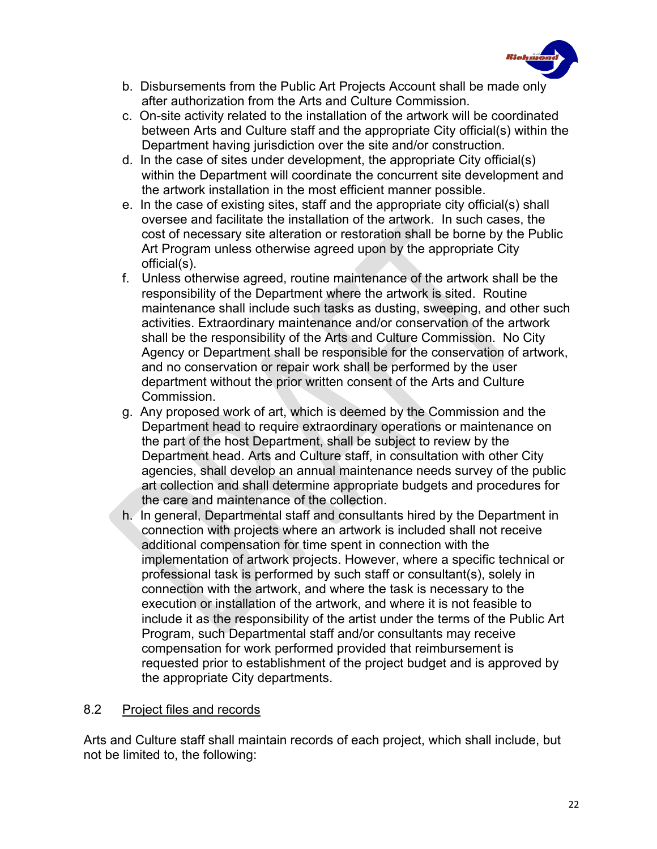

- b. Disbursements from the Public Art Projects Account shall be made only after authorization from the Arts and Culture Commission.
- c. On-site activity related to the installation of the artwork will be coordinated between Arts and Culture staff and the appropriate City official(s) within the Department having jurisdiction over the site and/or construction.
- d. In the case of sites under development, the appropriate City official(s) within the Department will coordinate the concurrent site development and the artwork installation in the most efficient manner possible.
- e. In the case of existing sites, staff and the appropriate city official(s) shall oversee and facilitate the installation of the artwork. In such cases, the cost of necessary site alteration or restoration shall be borne by the Public Art Program unless otherwise agreed upon by the appropriate City official(s).
- f. Unless otherwise agreed, routine maintenance of the artwork shall be the responsibility of the Department where the artwork is sited. Routine maintenance shall include such tasks as dusting, sweeping, and other such activities. Extraordinary maintenance and/or conservation of the artwork shall be the responsibility of the Arts and Culture Commission. No City Agency or Department shall be responsible for the conservation of artwork, and no conservation or repair work shall be performed by the user department without the prior written consent of the Arts and Culture Commission.
- g. Any proposed work of art, which is deemed by the Commission and the Department head to require extraordinary operations or maintenance on the part of the host Department, shall be subject to review by the Department head. Arts and Culture staff, in consultation with other City agencies, shall develop an annual maintenance needs survey of the public art collection and shall determine appropriate budgets and procedures for the care and maintenance of the collection.
- h. In general, Departmental staff and consultants hired by the Department in connection with projects where an artwork is included shall not receive additional compensation for time spent in connection with the implementation of artwork projects. However, where a specific technical or professional task is performed by such staff or consultant(s), solely in connection with the artwork, and where the task is necessary to the execution or installation of the artwork, and where it is not feasible to include it as the responsibility of the artist under the terms of the Public Art Program, such Departmental staff and/or consultants may receive compensation for work performed provided that reimbursement is requested prior to establishment of the project budget and is approved by the appropriate City departments.

### 8.2 Project files and records

Arts and Culture staff shall maintain records of each project, which shall include, but not be limited to, the following: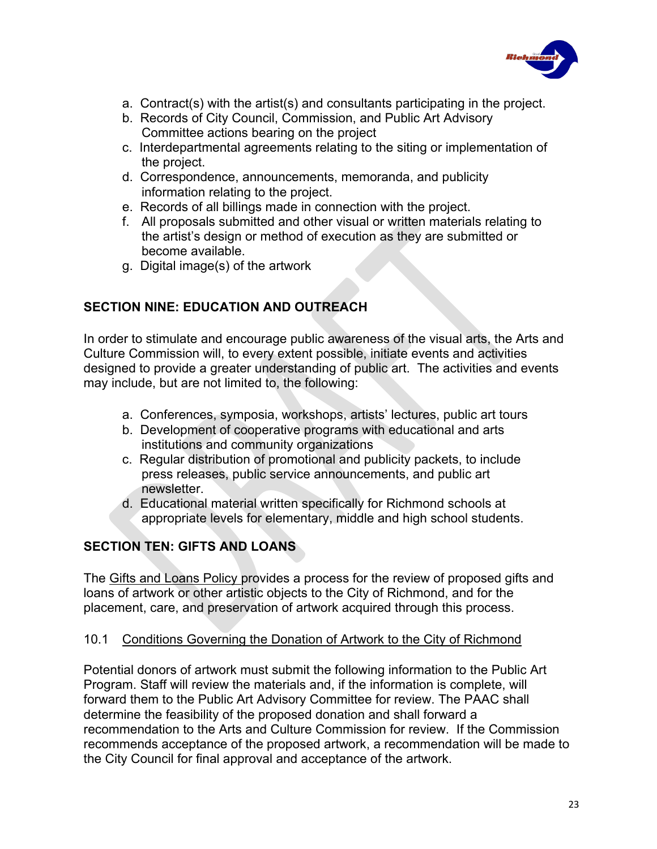

- a. Contract(s) with the artist(s) and consultants participating in the project.
- b. Records of City Council, Commission, and Public Art Advisory Committee actions bearing on the project
- c. Interdepartmental agreements relating to the siting or implementation of the project.
- d. Correspondence, announcements, memoranda, and publicity information relating to the project.
- e. Records of all billings made in connection with the project.
- f. All proposals submitted and other visual or written materials relating to the artist's design or method of execution as they are submitted or become available.
- g. Digital image(s) of the artwork

# **SECTION NINE: EDUCATION AND OUTREACH**

In order to stimulate and encourage public awareness of the visual arts, the Arts and Culture Commission will, to every extent possible, initiate events and activities designed to provide a greater understanding of public art. The activities and events may include, but are not limited to, the following:

- a. Conferences, symposia, workshops, artists' lectures, public art tours
- b. Development of cooperative programs with educational and arts institutions and community organizations
- c. Regular distribution of promotional and publicity packets, to include press releases, public service announcements, and public art newsletter.
- d. Educational material written specifically for Richmond schools at appropriate levels for elementary, middle and high school students.

# **SECTION TEN: GIFTS AND LOANS**

The Gifts and Loans Policy provides a process for the review of proposed gifts and loans of artwork or other artistic objects to the City of Richmond, and for the placement, care, and preservation of artwork acquired through this process.

## 10.1 Conditions Governing the Donation of Artwork to the City of Richmond

Potential donors of artwork must submit the following information to the Public Art Program. Staff will review the materials and, if the information is complete, will forward them to the Public Art Advisory Committee for review. The PAAC shall determine the feasibility of the proposed donation and shall forward a recommendation to the Arts and Culture Commission for review. If the Commission recommends acceptance of the proposed artwork, a recommendation will be made to the City Council for final approval and acceptance of the artwork.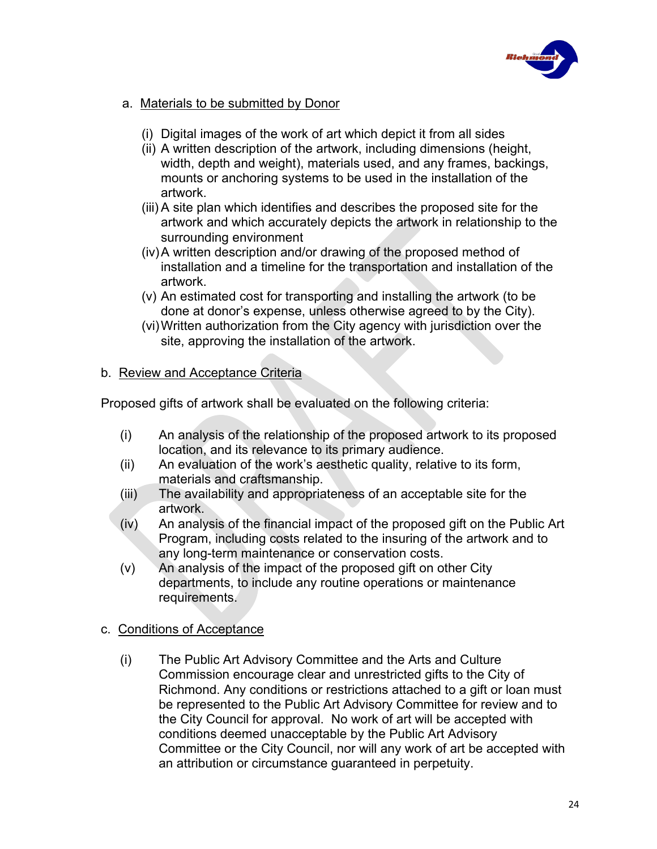

- a. Materials to be submitted by Donor
	- (i) Digital images of the work of art which depict it from all sides
	- (ii) A written description of the artwork, including dimensions (height, width, depth and weight), materials used, and any frames, backings, mounts or anchoring systems to be used in the installation of the artwork.
	- (iii) A site plan which identifies and describes the proposed site for the artwork and which accurately depicts the artwork in relationship to the surrounding environment
	- (iv)A written description and/or drawing of the proposed method of installation and a timeline for the transportation and installation of the artwork.
	- (v) An estimated cost for transporting and installing the artwork (to be done at donor's expense, unless otherwise agreed to by the City).
	- (vi)Written authorization from the City agency with jurisdiction over the site, approving the installation of the artwork.

### b. Review and Acceptance Criteria

Proposed gifts of artwork shall be evaluated on the following criteria:

- (i) An analysis of the relationship of the proposed artwork to its proposed location, and its relevance to its primary audience.
- (ii) An evaluation of the work's aesthetic quality, relative to its form, materials and craftsmanship.
- (iii) The availability and appropriateness of an acceptable site for the artwork.
- (iv) An analysis of the financial impact of the proposed gift on the Public Art Program, including costs related to the insuring of the artwork and to any long-term maintenance or conservation costs.
- (v) An analysis of the impact of the proposed gift on other City departments, to include any routine operations or maintenance requirements.
- c. Conditions of Acceptance
	- (i) The Public Art Advisory Committee and the Arts and Culture Commission encourage clear and unrestricted gifts to the City of Richmond. Any conditions or restrictions attached to a gift or loan must be represented to the Public Art Advisory Committee for review and to the City Council for approval. No work of art will be accepted with conditions deemed unacceptable by the Public Art Advisory Committee or the City Council, nor will any work of art be accepted with an attribution or circumstance guaranteed in perpetuity.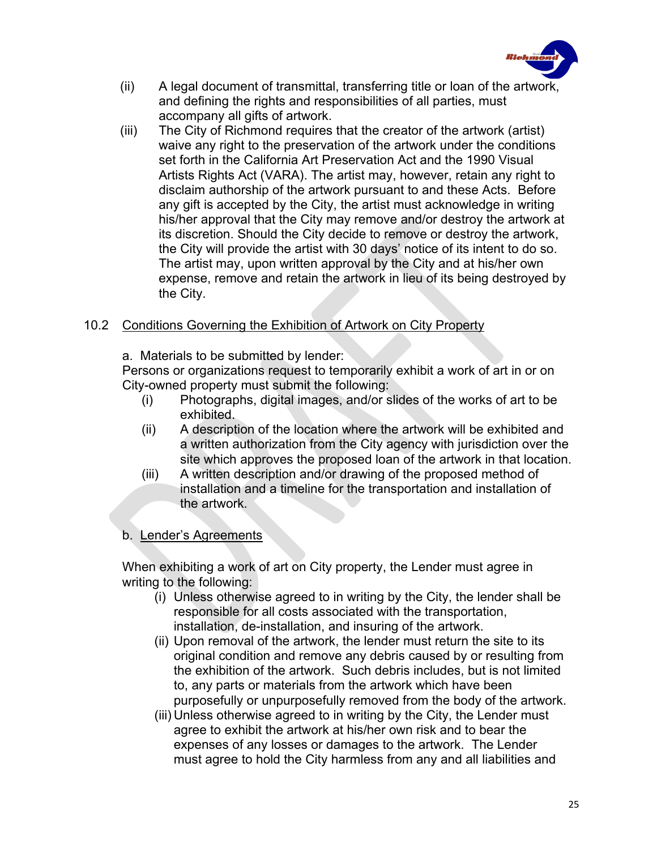

- (ii) A legal document of transmittal, transferring title or loan of the artwork, and defining the rights and responsibilities of all parties, must accompany all gifts of artwork.
- (iii) The City of Richmond requires that the creator of the artwork (artist) waive any right to the preservation of the artwork under the conditions set forth in the California Art Preservation Act and the 1990 Visual Artists Rights Act (VARA). The artist may, however, retain any right to disclaim authorship of the artwork pursuant to and these Acts. Before any gift is accepted by the City, the artist must acknowledge in writing his/her approval that the City may remove and/or destroy the artwork at its discretion. Should the City decide to remove or destroy the artwork, the City will provide the artist with 30 days' notice of its intent to do so. The artist may, upon written approval by the City and at his/her own expense, remove and retain the artwork in lieu of its being destroyed by the City.

### 10.2 Conditions Governing the Exhibition of Artwork on City Property

a. Materials to be submitted by lender:

Persons or organizations request to temporarily exhibit a work of art in or on City-owned property must submit the following:

- (i) Photographs, digital images, and/or slides of the works of art to be exhibited.
- (ii) A description of the location where the artwork will be exhibited and a written authorization from the City agency with jurisdiction over the site which approves the proposed loan of the artwork in that location.
- (iii) A written description and/or drawing of the proposed method of installation and a timeline for the transportation and installation of the artwork.

## b. Lender's Agreements

When exhibiting a work of art on City property, the Lender must agree in writing to the following:

- (i) Unless otherwise agreed to in writing by the City, the lender shall be responsible for all costs associated with the transportation, installation, de-installation, and insuring of the artwork.
- (ii) Upon removal of the artwork, the lender must return the site to its original condition and remove any debris caused by or resulting from the exhibition of the artwork. Such debris includes, but is not limited to, any parts or materials from the artwork which have been purposefully or unpurposefully removed from the body of the artwork.
- (iii) Unless otherwise agreed to in writing by the City, the Lender must agree to exhibit the artwork at his/her own risk and to bear the expenses of any losses or damages to the artwork. The Lender must agree to hold the City harmless from any and all liabilities and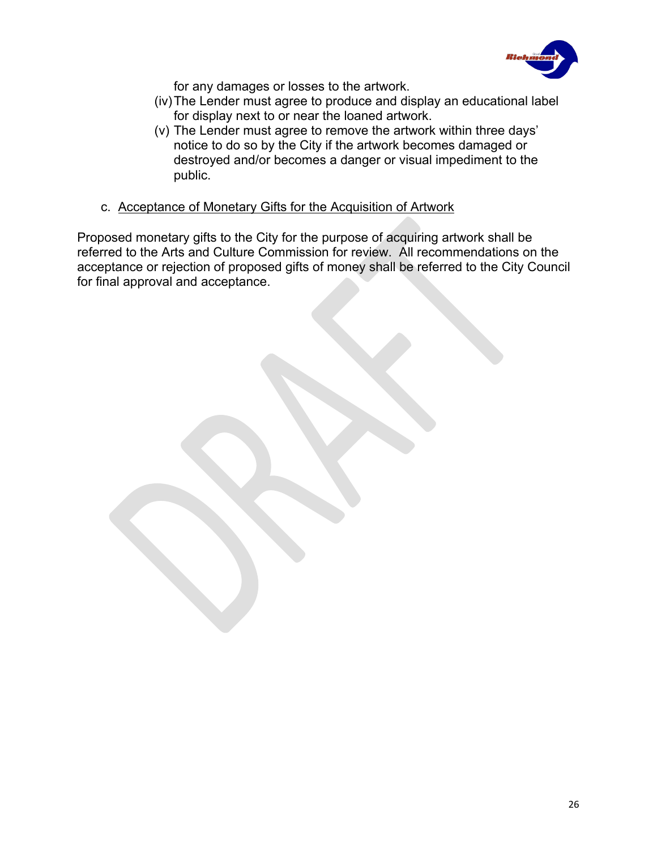

for any damages or losses to the artwork.

- (iv)The Lender must agree to produce and display an educational label for display next to or near the loaned artwork.
- (v) The Lender must agree to remove the artwork within three days' notice to do so by the City if the artwork becomes damaged or destroyed and/or becomes a danger or visual impediment to the public.
- c. Acceptance of Monetary Gifts for the Acquisition of Artwork

Proposed monetary gifts to the City for the purpose of acquiring artwork shall be referred to the Arts and Culture Commission for review. All recommendations on the acceptance or rejection of proposed gifts of money shall be referred to the City Council for final approval and acceptance.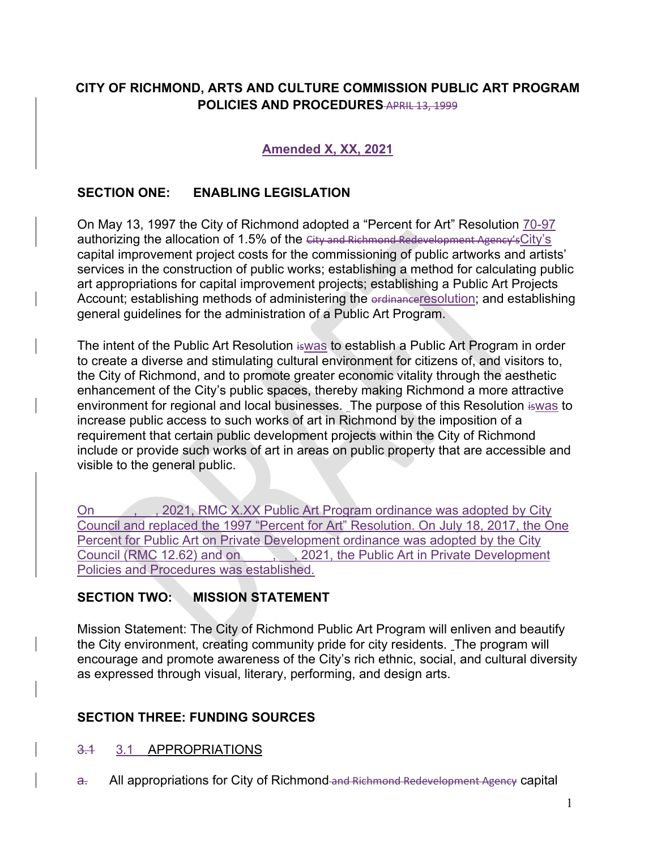# **CITY OF RICHMOND, ARTS AND CULTURE COMMISSION PUBLIC ART PROGRAM POLICIES AND PROCEDURES** APRIL 13, 1999

## **Amended X, XX, 2021**

### **SECTION ONE: ENABLING LEGISLATION**

On May 13, 1997 the City of Richmond adopted a "Percent for Art" Resolution 70-97 authorizing the allocation of 1.5% of the City and Richmond Redevelopment Agency's City's capital improvement project costs for the commissioning of public artworks and artists' services in the construction of public works; establishing a method for calculating public art appropriations for capital improvement projects; establishing a Public Art Projects Account; establishing methods of administering the erdinanceresolution; and establishing general guidelines for the administration of a Public Art Program.

The intent of the Public Art Resolution iswas to establish a Public Art Program in order to create a diverse and stimulating cultural environment for citizens of, and visitors to, the City of Richmond, and to promote greater economic vitality through the aesthetic enhancement of the City's public spaces, thereby making Richmond a more attractive environment for regional and local businesses. The purpose of this Resolution is was to increase public access to such works of art in Richmond by the imposition of a requirement that certain public development projects within the City of Richmond include or provide such works of art in areas on public property that are accessible and visible to the general public.

On 2021, RMC X.XX Public Art Program ordinance was adopted by City Council and replaced the 1997 "Percent for Art" Resolution. On July 18, 2017, the One Percent for Public Art on Private Development ordinance was adopted by the City Council (RMC 12.62) and on  $\qquad \qquad$ , 2021, the Public Art in Private Development Policies and Procedures was established.

## **SECTION TWO: MISSION STATEMENT**

Mission Statement: The City of Richmond Public Art Program will enliven and beautify the City environment, creating community pride for city residents. The program will encourage and promote awareness of the City's rich ethnic, social, and cultural diversity as expressed through visual, literary, performing, and design arts.

### **SECTION THREE: FUNDING SOURCES**

#### 3.1 3.1 APPROPRIATIONS

a. All appropriations for City of Richmond and Richmond Redevelopment Agency capital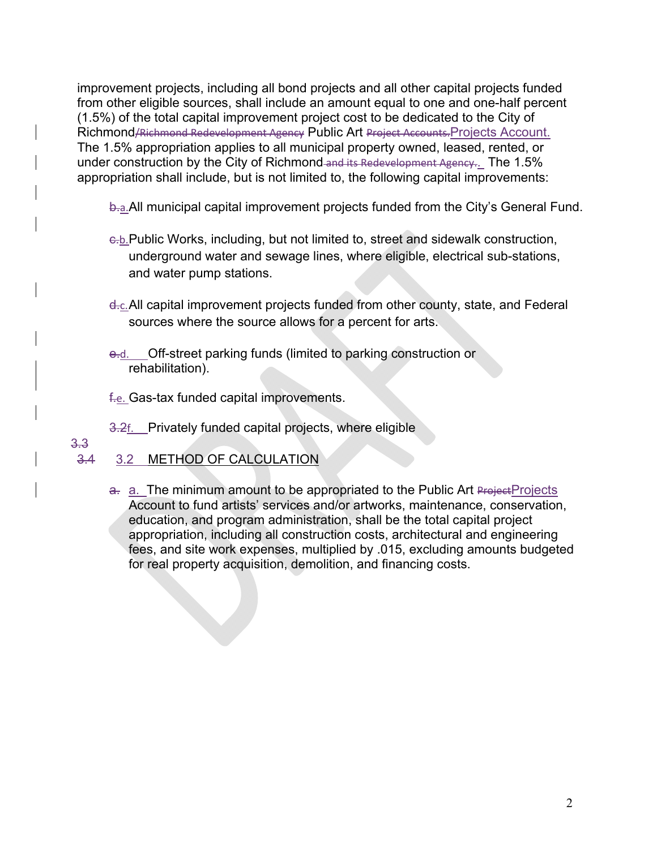improvement projects, including all bond projects and all other capital projects funded from other eligible sources, shall include an amount equal to one and one-half percent (1.5%) of the total capital improvement project cost to be dedicated to the City of Richmond/Richmond Redevelopment Agency Public Art Project Accounts.Projects Account. The 1.5% appropriation applies to all municipal property owned, leased, rented, or under construction by the City of Richmond and its Redevelopment Agency.. The 1.5% appropriation shall include, but is not limited to, the following capital improvements:

b.a. All municipal capital improvement projects funded from the City's General Fund.

- c.b.Public Works, including, but not limited to, street and sidewalk construction, underground water and sewage lines, where eligible, electrical sub-stations, and water pump stations.
- d.c. All capital improvement projects funded from other county, state, and Federal sources where the source allows for a percent for arts.
- e.d. Off-street parking funds (limited to parking construction or rehabilitation).
- f.e. Gas-tax funded capital improvements.
- 3.2f. Privately funded capital projects, where eligible

## 3.3

3.4 3.2 METHOD OF CALCULATION

a. a. The minimum amount to be appropriated to the Public Art Project Projects Account to fund artists' services and/or artworks, maintenance, conservation, education, and program administration, shall be the total capital project appropriation, including all construction costs, architectural and engineering fees, and site work expenses, multiplied by .015, excluding amounts budgeted for real property acquisition, demolition, and financing costs.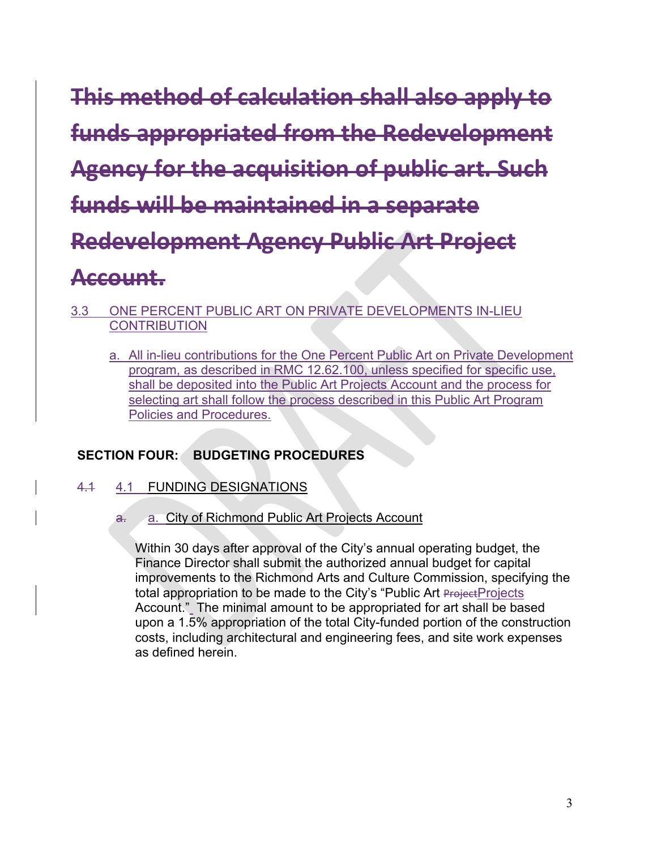**This method of calculation shall also apply to funds appropriated from the Redevelopment Agency for the acquisition of public art. Such funds will be maintained in a separate Redevelopment Agency Public Art Project Account.** 

- 3.3 ONE PERCENT PUBLIC ART ON PRIVATE DEVELOPMENTS IN-LIEU **CONTRIBUTION** 
	- a. All in-lieu contributions for the One Percent Public Art on Private Development program, as described in RMC 12.62.100, unless specified for specific use, shall be deposited into the Public Art Projects Account and the process for selecting art shall follow the process described in this Public Art Program Policies and Procedures.

# **SECTION FOUR: BUDGETING PROCEDURES**

## 4.1 4.1 FUNDING DESIGNATIONS

a. a. City of Richmond Public Art Projects Account

Within 30 days after approval of the City's annual operating budget, the Finance Director shall submit the authorized annual budget for capital improvements to the Richmond Arts and Culture Commission, specifying the total appropriation to be made to the City's "Public Art Project Projects Account." The minimal amount to be appropriated for art shall be based upon a 1.5% appropriation of the total City-funded portion of the construction costs, including architectural and engineering fees, and site work expenses as defined herein.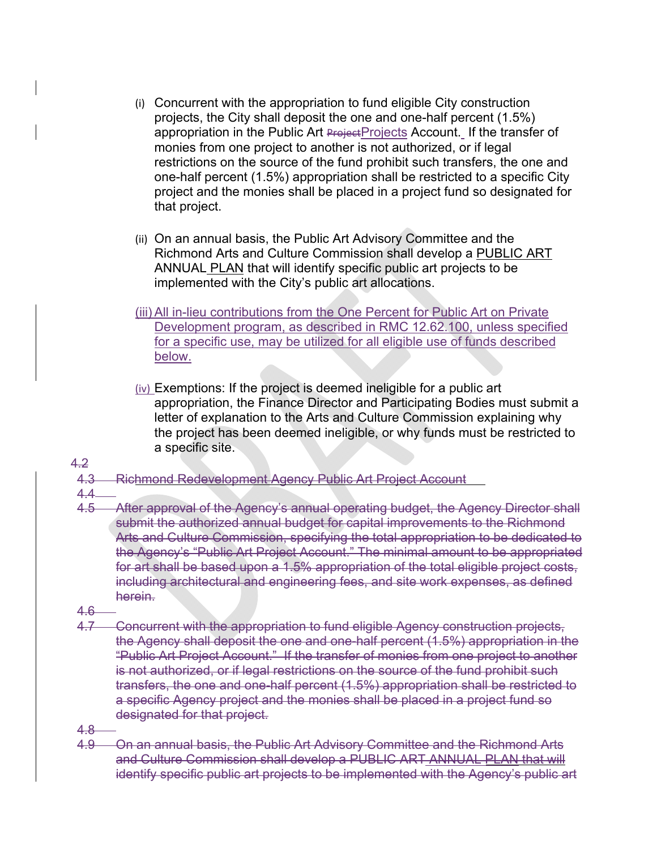- (i) Concurrent with the appropriation to fund eligible City construction projects, the City shall deposit the one and one-half percent (1.5%) appropriation in the Public Art Project Projects Account. If the transfer of monies from one project to another is not authorized, or if legal restrictions on the source of the fund prohibit such transfers, the one and one-half percent (1.5%) appropriation shall be restricted to a specific City project and the monies shall be placed in a project fund so designated for that project.
- (ii) On an annual basis, the Public Art Advisory Committee and the Richmond Arts and Culture Commission shall develop a PUBLIC ART ANNUAL PLAN that will identify specific public art projects to be implemented with the City's public art allocations.
- (iii) All in-lieu contributions from the One Percent for Public Art on Private Development program, as described in RMC 12.62.100, unless specified for a specific use, may be utilized for all eligible use of funds described below.
- (iv) Exemptions: If the project is deemed ineligible for a public art appropriation, the Finance Director and Participating Bodies must submit a letter of explanation to the Arts and Culture Commission explaining why the project has been deemed ineligible, or why funds must be restricted to a specific site.
- 4.2
- 4.3 Richmond Redevelopment Agency Public Art Project Account
- $4.4 -$ <br> $4.5 -$ 
	- After approval of the Agency's annual operating budget, the Agency Director shall submit the authorized annual budget for capital improvements to the Richmond Arts and Culture Commission, specifying the total appropriation to be dedicated to the Agency's "Public Art Project Account." The minimal amount to be appropriated for art shall be based upon a 1.5% appropriation of the total eligible project costs, including architectural and engineering fees, and site work expenses, as defined herein.
- 4.6
- 4.7 Concurrent with the appropriation to fund eligible Agency construction projects, the Agency shall deposit the one and one-half percent (1.5%) appropriation in the "Public Art Project Account." If the transfer of monies from one project to another is not authorized, or if legal restrictions on the source of the fund prohibit such transfers, the one and one-half percent (1.5%) appropriation shall be restricted to a specific Agency project and the monies shall be placed in a project fund so designated for that project.
- 4.8
- 4.9 On an annual basis, the Public Art Advisory Committee and the Richmond Arts and Culture Commission shall develop a PUBLIC ART ANNUAL PLAN that will identify specific public art projects to be implemented with the Agency's public art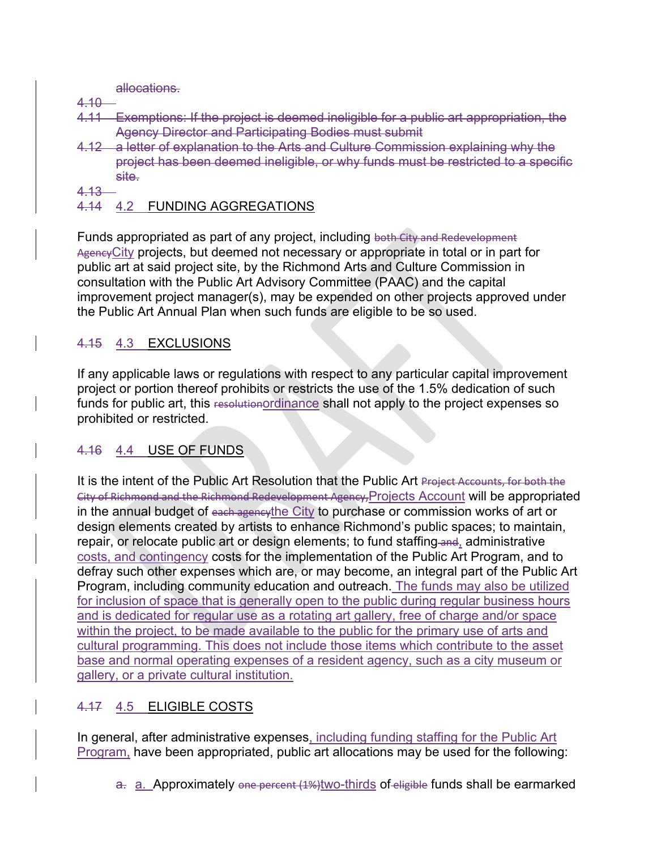allocations.

- 4.10
- 4.11 Exemptions: If the project is deemed ineligible for a public art appropriation, the Agency Director and Participating Bodies must submit
- 4.12 a letter of explanation to the Arts and Culture Commission explaining why the project has been deemed ineligible, or why funds must be restricted to a specific site.
- 4.13
- 4.14 4.2 FUNDING AGGREGATIONS

Funds appropriated as part of any project, including both City and Redevelopment Agency City projects, but deemed not necessary or appropriate in total or in part for public art at said project site, by the Richmond Arts and Culture Commission in consultation with the Public Art Advisory Committee (PAAC) and the capital improvement project manager(s), may be expended on other projects approved under the Public Art Annual Plan when such funds are eligible to be so used.

# 4.15 4.3 EXCLUSIONS

If any applicable laws or regulations with respect to any particular capital improvement project or portion thereof prohibits or restricts the use of the 1.5% dedication of such funds for public art, this resolutionordinance shall not apply to the project expenses so prohibited or restricted.

# 4.16 4.4 USE OF FUNDS

It is the intent of the Public Art Resolution that the Public Art Project Accounts, for both the City of Richmond and the Richmond Redevelopment Agency,Projects Account will be appropriated in the annual budget of each agencythe City to purchase or commission works of art or design elements created by artists to enhance Richmond's public spaces; to maintain, repair, or relocate public art or design elements; to fund staffing and, administrative costs, and contingency costs for the implementation of the Public Art Program, and to defray such other expenses which are, or may become, an integral part of the Public Art Program, including community education and outreach. The funds may also be utilized for inclusion of space that is generally open to the public during regular business hours and is dedicated for regular use as a rotating art gallery, free of charge and/or space within the project, to be made available to the public for the primary use of arts and cultural programming. This does not include those items which contribute to the asset base and normal operating expenses of a resident agency, such as a city museum or gallery, or a private cultural institution.

# 4.17 4.5 ELIGIBLE COSTS

In general, after administrative expenses, including funding staffing for the Public Art Program, have been appropriated, public art allocations may be used for the following:

a. a. Approximately one percent (1%)two-thirds of eligible funds shall be earmarked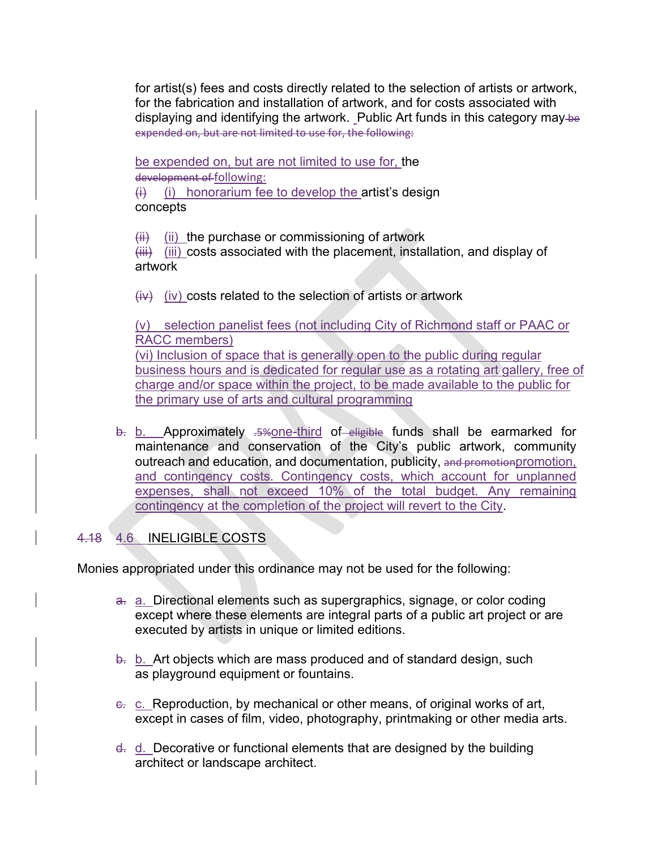for artist(s) fees and costs directly related to the selection of artists or artwork, for the fabrication and installation of artwork, and for costs associated with displaying and identifying the artwork. Public Art funds in this category may-be expended on, but are not limited to use for, the following:

be expended on, but are not limited to use for, the development of following:

 $(i)$  (i) honorarium fee to develop the artist's design concepts

 $(iii)$  (ii) the purchase or commissioning of artwork

 $(HH)$  (iii) costs associated with the placement, installation, and display of artwork

 $(iv)$  (iv) costs related to the selection of artists or artwork

(v) selection panelist fees (not including City of Richmond staff or PAAC or RACC members) (vi) Inclusion of space that is generally open to the public during regular business hours and is dedicated for regular use as a rotating art gallery, free of charge and/or space within the project, to be made available to the public for the primary use of arts and cultural programming

b. b. Approximately .5% one-third of eligible funds shall be earmarked for maintenance and conservation of the City's public artwork, community outreach and education, and documentation, publicity, and promotionpromotion, and contingency costs. Contingency costs, which account for unplanned expenses, shall not exceed 10% of the total budget. Any remaining contingency at the completion of the project will revert to the City.

# 4.18 4.6 INELIGIBLE COSTS

Monies appropriated under this ordinance may not be used for the following:

- a. a. Directional elements such as supergraphics, signage, or color coding except where these elements are integral parts of a public art project or are executed by artists in unique or limited editions.
- b. b. Art objects which are mass produced and of standard design, such as playground equipment or fountains.
- e. c. Reproduction, by mechanical or other means, of original works of art, except in cases of film, video, photography, printmaking or other media arts.
- d. d. Decorative or functional elements that are designed by the building architect or landscape architect.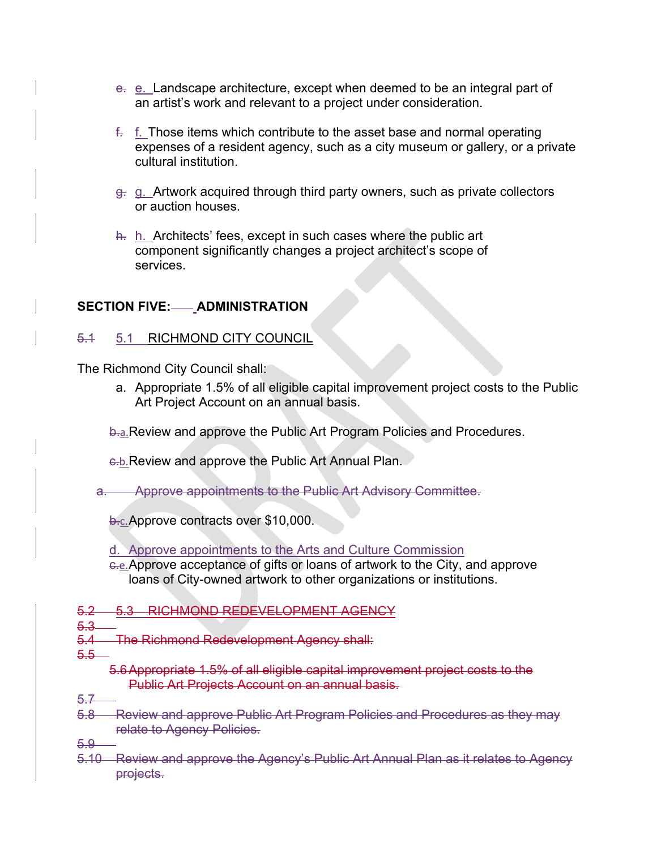- e. e. Landscape architecture, except when deemed to be an integral part of an artist's work and relevant to a project under consideration.
- $f<sub>z</sub>$  f. Those items which contribute to the asset base and normal operating expenses of a resident agency, such as a city museum or gallery, or a private cultural institution.
- g. g. Artwork acquired through third party owners, such as private collectors or auction houses.
- h. h. Architects' fees, except in such cases where the public art component significantly changes a project architect's scope of services.

## **SECTION FIVE: ADMINISTRATION**

### 5.1 5.1 RICHMOND CITY COUNCIL

The Richmond City Council shall:

a. Appropriate 1.5% of all eligible capital improvement project costs to the Public Art Project Account on an annual basis.

**b.a. Review and approve the Public Art Program Policies and Procedures.** 

c.b.Review and approve the Public Art Annual Plan.

a. Approve appointments to the Public Art Advisory Committee.

b.c. Approve contracts over \$10,000.

d. Approve appointments to the Arts and Culture Commission

- c.e.Approve acceptance of gifts or loans of artwork to the City, and approve loans of City-owned artwork to other organizations or institutions.
- 5.2 5.3 RICHMOND REDEVELOPMENT AGENCY
- 5.3
- 5.4 The Richmond Redevelopment Agency shall:
- $5.5-$ 
	- 5.6Appropriate 1.5% of all eligible capital improvement project costs to the Public Art Projects Account on an annual basis.
- 5.7
- 5.8 Review and approve Public Art Program Policies and Procedures as they may relate to Agency Policies.

5.9

5.10 Review and approve the Agency's Public Art Annual Plan as it relates to Agency projects.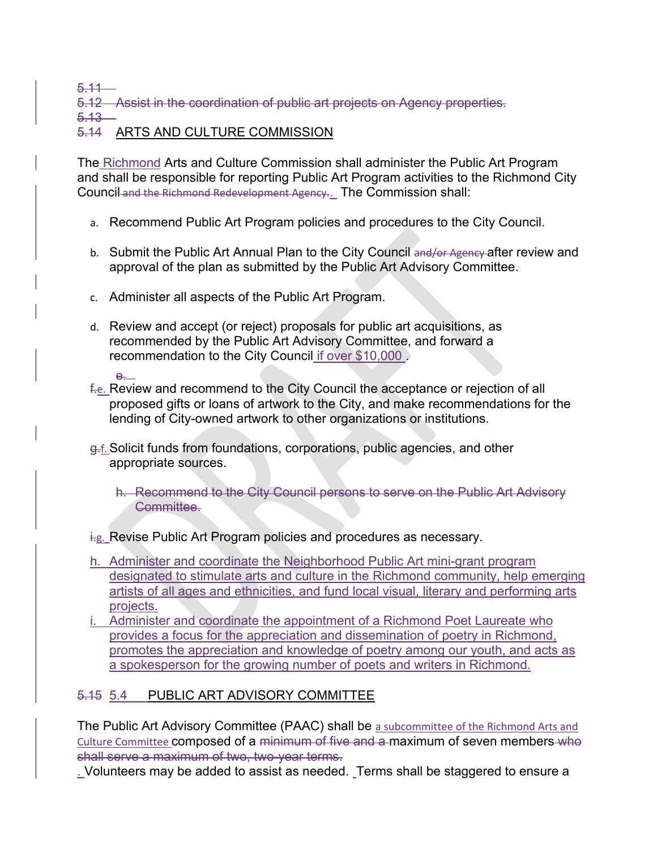5.11

5.12 Assist in the coordination of public art projects on Agency properties.

 $5.13 -$ 

## 5.14 ARTS AND CULTURE COMMISSION

The Richmond Arts and Culture Commission shall administer the Public Art Program and shall be responsible for reporting Public Art Program activities to the Richmond City Council and the Richmond Redevelopment Agency.. The Commission shall:

- a. Recommend Public Art Program policies and procedures to the City Council.
- b. Submit the Public Art Annual Plan to the City Council and/or Agency after review and approval of the plan as submitted by the Public Art Advisory Committee.
- c. Administer all aspects of the Public Art Program.
- d. Review and accept (or reject) proposals for public art acquisitions, as recommended by the Public Art Advisory Committee, and forward a recommendation to the City Council if over \$10,000 .
- e. f.e. Review and recommend to the City Council the acceptance or rejection of all proposed gifts or loans of artwork to the City, and make recommendations for the lending of City-owned artwork to other organizations or institutions.
- g.f.Solicit funds from foundations, corporations, public agencies, and other appropriate sources.

h. Recommend to the City Council persons to serve on the Public Art Advisory Committee.

## i.g. Revise Public Art Program policies and procedures as necessary.

- h. Administer and coordinate the Neighborhood Public Art mini-grant program designated to stimulate arts and culture in the Richmond community, help emerging artists of all ages and ethnicities, and fund local visual, literary and performing arts projects.
- i. Administer and coordinate the appointment of a Richmond Poet Laureate who provides a focus for the appreciation and dissemination of poetry in Richmond, promotes the appreciation and knowledge of poetry among our youth, and acts as a spokesperson for the growing number of poets and writers in Richmond.

# 5.15 5.4 PUBLIC ART ADVISORY COMMITTEE

The Public Art Advisory Committee (PAAC) shall be a subcommittee of the Richmond Arts and Culture Committee composed of a minimum of five and a maximum of seven members who shall serve a maximum of two, two-year terms.

. Volunteers may be added to assist as needed. Terms shall be staggered to ensure a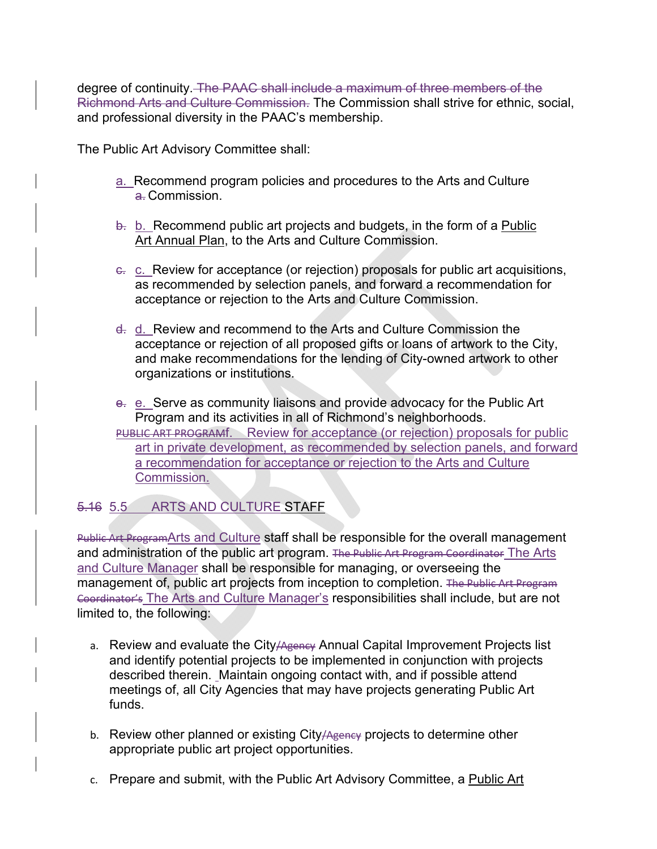degree of continuity. The PAAC shall include a maximum of three members of the Richmond Arts and Culture Commission. The Commission shall strive for ethnic, social, and professional diversity in the PAAC's membership.

The Public Art Advisory Committee shall:

- a. Recommend program policies and procedures to the Arts and Culture a. Commission
- $\frac{1}{2}$ . b. Recommend public art projects and budgets, in the form of a Public Art Annual Plan, to the Arts and Culture Commission.
- c. c. Review for acceptance (or rejection) proposals for public art acquisitions, as recommended by selection panels, and forward a recommendation for acceptance or rejection to the Arts and Culture Commission.
- d. d. Review and recommend to the Arts and Culture Commission the acceptance or rejection of all proposed gifts or loans of artwork to the City, and make recommendations for the lending of City-owned artwork to other organizations or institutions.
- e. e. Serve as community liaisons and provide advocacy for the Public Art Program and its activities in all of Richmond's neighborhoods. PUBLIC ART PROGRAMI. Review for acceptance (or rejection) proposals for public art in private development, as recommended by selection panels, and forward a recommendation for acceptance or rejection to the Arts and Culture Commission.

## 5.16 5.5 ARTS AND CULTURE STAFF

Public Art ProgramArts and Culture staff shall be responsible for the overall management and administration of the public art program. The Public Art Program Coordinator The Arts and Culture Manager shall be responsible for managing, or overseeing the management of, public art projects from inception to completion. The Public Art Program Coordinator's The Arts and Culture Manager's responsibilities shall include, but are not limited to, the following:

- a. Review and evaluate the City/Agency Annual Capital Improvement Projects list and identify potential projects to be implemented in conjunction with projects described therein. Maintain ongoing contact with, and if possible attend meetings of, all City Agencies that may have projects generating Public Art funds.
- b. Review other planned or existing City/Ageney projects to determine other appropriate public art project opportunities.
- c. Prepare and submit, with the Public Art Advisory Committee, a Public Art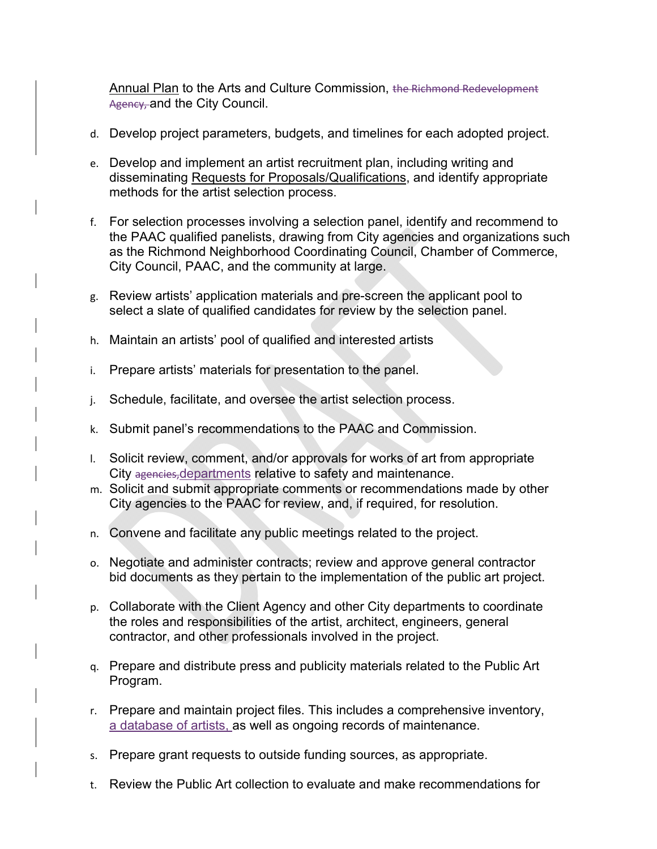Annual Plan to the Arts and Culture Commission, the Richmond Redevelopment Agency, and the City Council.

- d. Develop project parameters, budgets, and timelines for each adopted project.
- e. Develop and implement an artist recruitment plan, including writing and disseminating Requests for Proposals/Qualifications, and identify appropriate methods for the artist selection process.
- f. For selection processes involving a selection panel, identify and recommend to the PAAC qualified panelists, drawing from City agencies and organizations such as the Richmond Neighborhood Coordinating Council, Chamber of Commerce, City Council, PAAC, and the community at large.
- g. Review artists' application materials and pre-screen the applicant pool to select a slate of qualified candidates for review by the selection panel.
- h. Maintain an artists' pool of qualified and interested artists
- i. Prepare artists' materials for presentation to the panel.
- j. Schedule, facilitate, and oversee the artist selection process.
- k. Submit panel's recommendations to the PAAC and Commission.
- l. Solicit review, comment, and/or approvals for works of art from appropriate City agencies, departments relative to safety and maintenance.
- m. Solicit and submit appropriate comments or recommendations made by other City agencies to the PAAC for review, and, if required, for resolution.
- n. Convene and facilitate any public meetings related to the project.
- o. Negotiate and administer contracts; review and approve general contractor bid documents as they pertain to the implementation of the public art project.
- p. Collaborate with the Client Agency and other City departments to coordinate the roles and responsibilities of the artist, architect, engineers, general contractor, and other professionals involved in the project.
- q. Prepare and distribute press and publicity materials related to the Public Art Program.
- r. Prepare and maintain project files. This includes a comprehensive inventory, a database of artists, as well as ongoing records of maintenance.
- s. Prepare grant requests to outside funding sources, as appropriate.
- t. Review the Public Art collection to evaluate and make recommendations for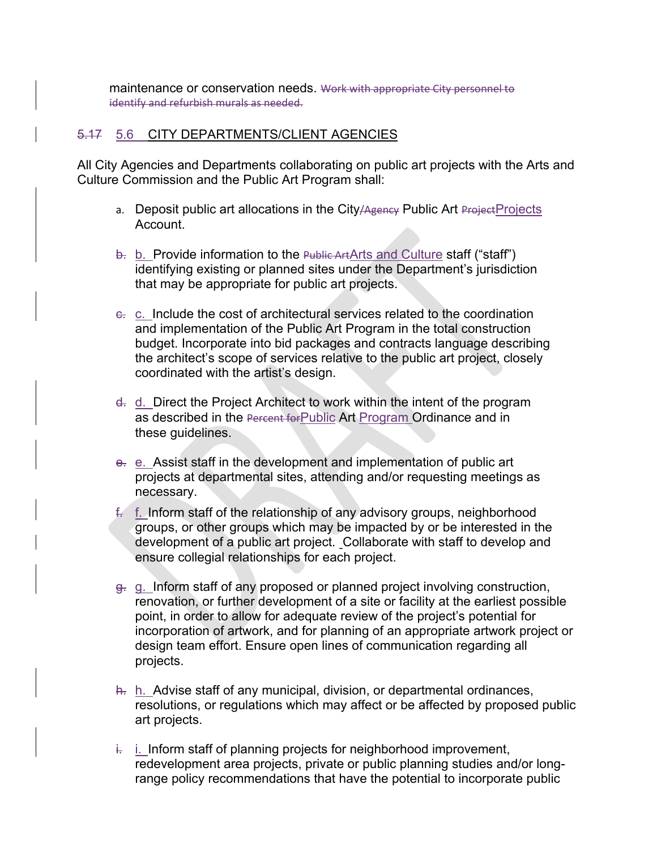maintenance or conservation needs. Work with appropriate City personnel to identify and refurbish murals as needed.

### 5.17 5.6 CITY DEPARTMENTS/CLIENT AGENCIES

All City Agencies and Departments collaborating on public art projects with the Arts and Culture Commission and the Public Art Program shall:

- a. Deposit public art allocations in the City/Agency Public Art Project Projects Account.
- b. b. Provide information to the Public ArtArts and Culture staff ("staff") identifying existing or planned sites under the Department's jurisdiction that may be appropriate for public art projects.
- e. c. Include the cost of architectural services related to the coordination and implementation of the Public Art Program in the total construction budget. Incorporate into bid packages and contracts language describing the architect's scope of services relative to the public art project, closely coordinated with the artist's design.
- d. d. Direct the Project Architect to work within the intent of the program as described in the Percent for Public Art Program Ordinance and in these guidelines.
- e. e. Assist staff in the development and implementation of public art projects at departmental sites, attending and/or requesting meetings as necessary.
- f. f. Inform staff of the relationship of any advisory groups, neighborhood groups, or other groups which may be impacted by or be interested in the development of a public art project. Collaborate with staff to develop and ensure collegial relationships for each project.
- g. g. Inform staff of any proposed or planned project involving construction, renovation, or further development of a site or facility at the earliest possible point, in order to allow for adequate review of the project's potential for incorporation of artwork, and for planning of an appropriate artwork project or design team effort. Ensure open lines of communication regarding all projects.
- h. h. Advise staff of any municipal, division, or departmental ordinances, resolutions, or regulations which may affect or be affected by proposed public art projects.
- i. i. Inform staff of planning projects for neighborhood improvement, redevelopment area projects, private or public planning studies and/or longrange policy recommendations that have the potential to incorporate public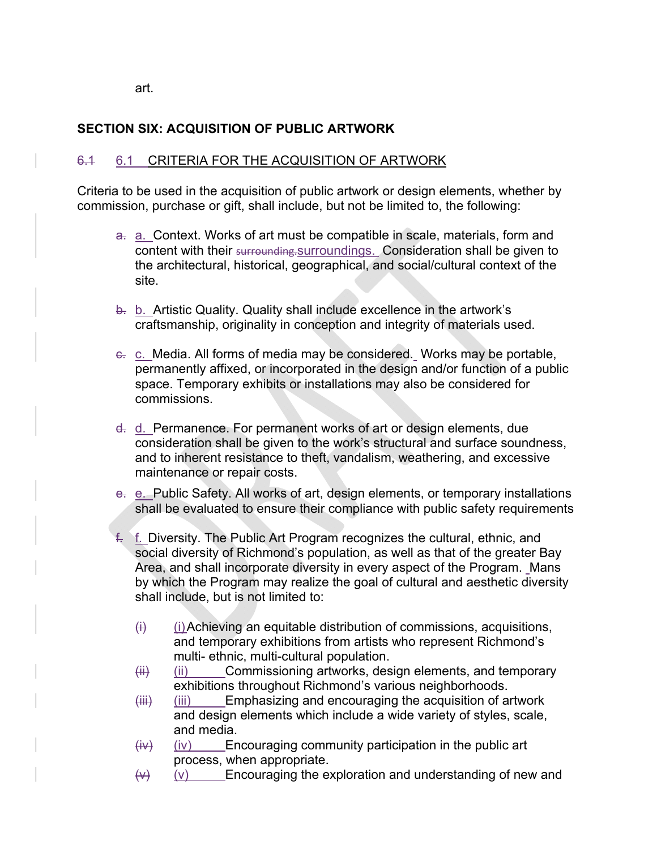art.

## **SECTION SIX: ACQUISITION OF PUBLIC ARTWORK**

## 6.1 6.1 CRITERIA FOR THE ACQUISITION OF ARTWORK

Criteria to be used in the acquisition of public artwork or design elements, whether by commission, purchase or gift, shall include, but not be limited to, the following:

- a. a. Context. Works of art must be compatible in scale, materials, form and content with their surrounding.surroundings. Consideration shall be given to the architectural, historical, geographical, and social/cultural context of the site.
- b. b. Artistic Quality. Quality shall include excellence in the artwork's craftsmanship, originality in conception and integrity of materials used.
- c. c. Media. All forms of media may be considered. Works may be portable, permanently affixed, or incorporated in the design and/or function of a public space. Temporary exhibits or installations may also be considered for commissions.
- d. d. Permanence. For permanent works of art or design elements, due consideration shall be given to the work's structural and surface soundness, and to inherent resistance to theft, vandalism, weathering, and excessive maintenance or repair costs.
- e. e. Public Safety. All works of art, design elements, or temporary installations shall be evaluated to ensure their compliance with public safety requirements
- f. f. Diversity. The Public Art Program recognizes the cultural, ethnic, and social diversity of Richmond's population, as well as that of the greater Bay Area, and shall incorporate diversity in every aspect of the Program. Mans by which the Program may realize the goal of cultural and aesthetic diversity shall include, but is not limited to:
	- $\langle i \rangle$  (i) Achieving an equitable distribution of commissions, acquisitions, and temporary exhibitions from artists who represent Richmond's multi- ethnic, multi-cultural population.
	- $(iii)$  (ii) Commissioning artworks, design elements, and temporary exhibitions throughout Richmond's various neighborhoods.
	- $(iii)$  (iii) Emphasizing and encouraging the acquisition of artwork and design elements which include a wide variety of styles, scale, and media.
	- $(iv)$  (iv) Encouraging community participation in the public art process, when appropriate.
	- $(v)$  (v) Encouraging the exploration and understanding of new and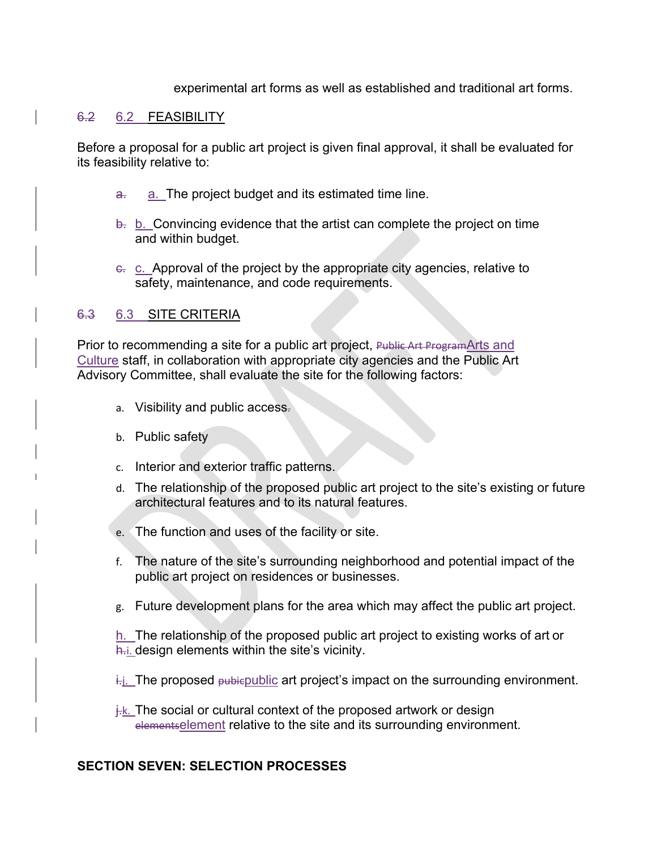experimental art forms as well as established and traditional art forms.

#### 6.2 6.2 FEASIBILITY

Before a proposal for a public art project is given final approval, it shall be evaluated for its feasibility relative to:

- a. a. The project budget and its estimated time line.
- $\theta$ . b. Convincing evidence that the artist can complete the project on time and within budget.
- e. c. Approval of the project by the appropriate city agencies, relative to safety, maintenance, and code requirements.

### 6.3 6.3 SITE CRITERIA

Prior to recommending a site for a public art project, Public Art ProgramArts and Culture staff, in collaboration with appropriate city agencies and the Public Art Advisory Committee, shall evaluate the site for the following factors:

- a. Visibility and public access.
- b. Public safety
- c. Interior and exterior traffic patterns.
- d. The relationship of the proposed public art project to the site's existing or future architectural features and to its natural features.
- e. The function and uses of the facility or site.
- f. The nature of the site's surrounding neighborhood and potential impact of the public art project on residences or businesses.
- g. Future development plans for the area which may affect the public art project.

h. The relationship of the proposed public art project to existing works of art or h. i. design elements within the site's vicinity.

- $i$ . The proposed  $\mu$  biepublic art project's impact on the surrounding environment.
- $\frac{1}{k}$ . The social or cultural context of the proposed artwork or design elementselement relative to the site and its surrounding environment.

#### **SECTION SEVEN: SELECTION PROCESSES**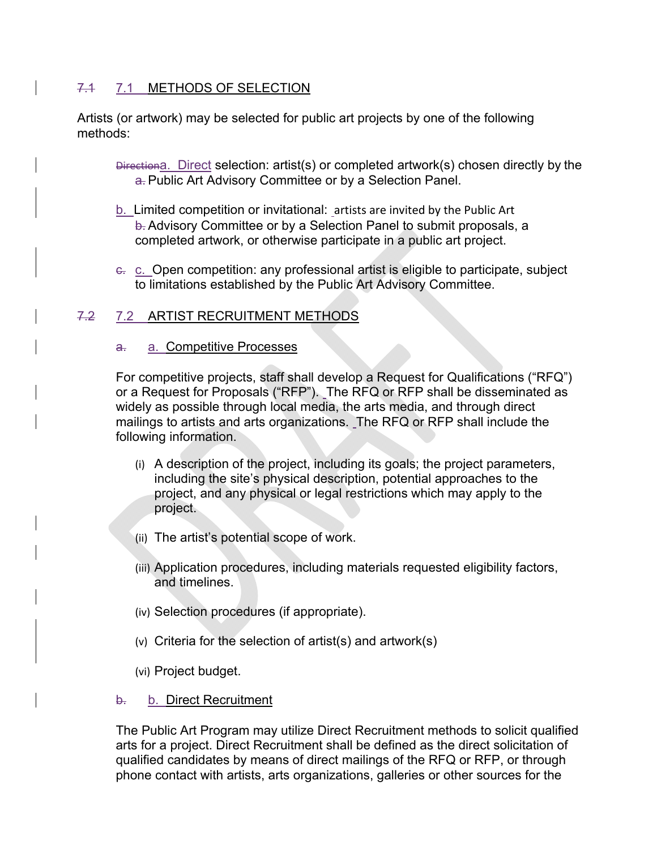## 7.1 7.1 METHODS OF SELECTION

Artists (or artwork) may be selected for public art projects by one of the following methods:

Directiona. Direct selection: artist(s) or completed artwork(s) chosen directly by the a. Public Art Advisory Committee or by a Selection Panel.

- b. Limited competition or invitational: artists are invited by the Public Art b. Advisory Committee or by a Selection Panel to submit proposals, a completed artwork, or otherwise participate in a public art project.
- c. c. Open competition: any professional artist is eligible to participate, subject to limitations established by the Public Art Advisory Committee.

## 7.2 7.2 ARTIST RECRUITMENT METHODS

#### a. a. Competitive Processes

For competitive projects, staff shall develop a Request for Qualifications ("RFQ") or a Request for Proposals ("RFP"). The RFQ or RFP shall be disseminated as widely as possible through local media, the arts media, and through direct mailings to artists and arts organizations. The RFQ or RFP shall include the following information.

- (i) A description of the project, including its goals; the project parameters, including the site's physical description, potential approaches to the project, and any physical or legal restrictions which may apply to the project.
- (ii) The artist's potential scope of work.
- (iii) Application procedures, including materials requested eligibility factors, and timelines.
- (iv) Selection procedures (if appropriate).
- (v) Criteria for the selection of artist(s) and artwork(s)
- (vi) Project budget.

### b. b. Direct Recruitment

The Public Art Program may utilize Direct Recruitment methods to solicit qualified arts for a project. Direct Recruitment shall be defined as the direct solicitation of qualified candidates by means of direct mailings of the RFQ or RFP, or through phone contact with artists, arts organizations, galleries or other sources for the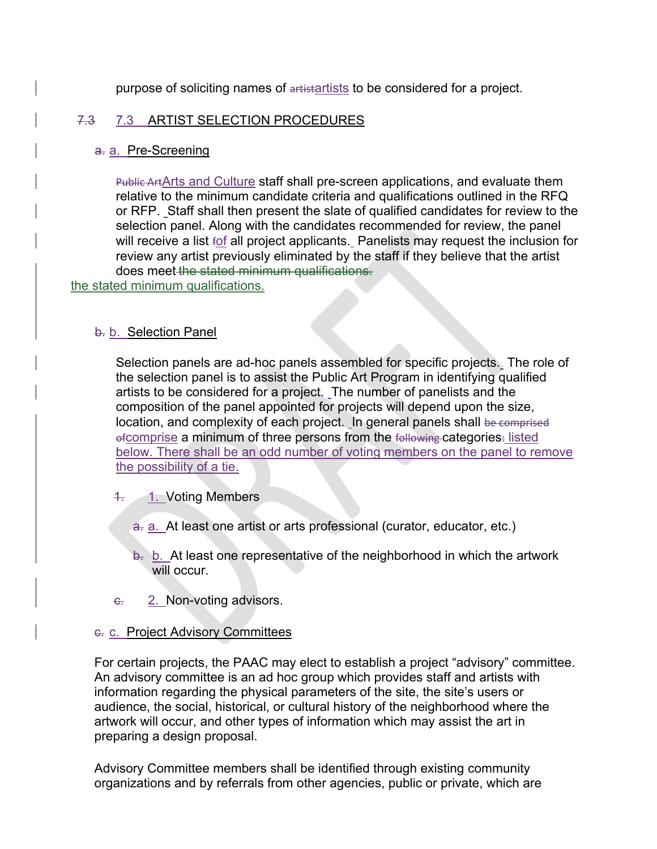purpose of soliciting names of artistartists to be considered for a project.

### 7.3 7.3 ARTIST SELECTION PROCEDURES

#### a. a. Pre-Screening

Public ArtArts and Culture staff shall pre-screen applications, and evaluate them relative to the minimum candidate criteria and qualifications outlined in the RFQ or RFP. Staff shall then present the slate of qualified candidates for review to the selection panel. Along with the candidates recommended for review, the panel will receive a list fof all project applicants. Panelists may request the inclusion for review any artist previously eliminated by the staff if they believe that the artist does meet the stated minimum qualifications.

the stated minimum qualifications.

### b. b. Selection Panel

Selection panels are ad-hoc panels assembled for specific projects. The role of the selection panel is to assist the Public Art Program in identifying qualified artists to be considered for a project. The number of panelists and the composition of the panel appointed for projects will depend upon the size, location, and complexity of each project. In general panels shall be comprised ofcomprise a minimum of three persons from the following categories. listed below. There shall be an odd number of voting members on the panel to remove the possibility of a tie.

- 4. 1. Voting Members
	- a. a. At least one artist or arts professional (curator, educator, etc.)
	- $\frac{1}{2}$  b. At least one representative of the neighborhood in which the artwork will occur.
- $\epsilon$ . 2. Non-voting advisors.

### c. c. Project Advisory Committees

For certain projects, the PAAC may elect to establish a project "advisory" committee. An advisory committee is an ad hoc group which provides staff and artists with information regarding the physical parameters of the site, the site's users or audience, the social, historical, or cultural history of the neighborhood where the artwork will occur, and other types of information which may assist the art in preparing a design proposal.

Advisory Committee members shall be identified through existing community organizations and by referrals from other agencies, public or private, which are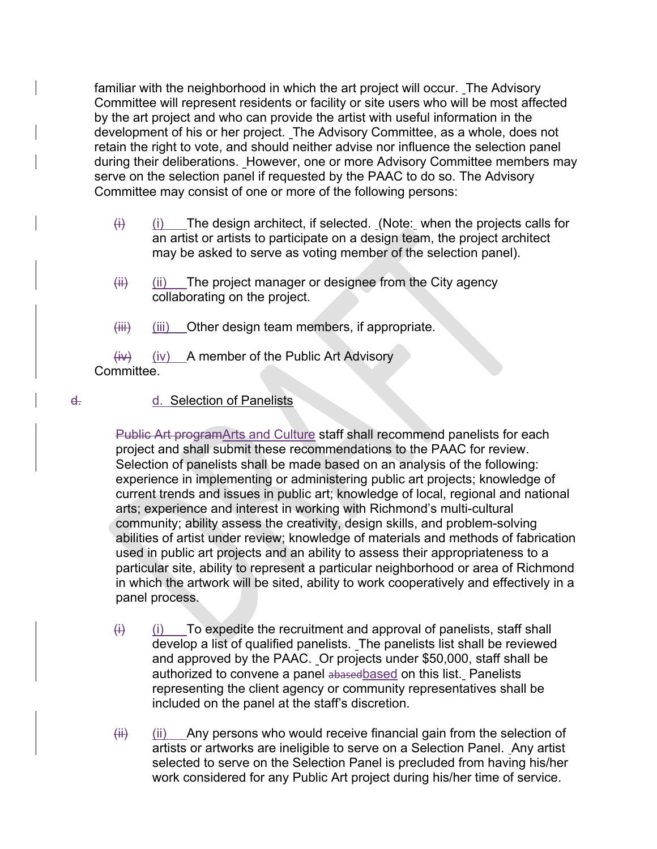familiar with the neighborhood in which the art project will occur. The Advisory Committee will represent residents or facility or site users who will be most affected by the art project and who can provide the artist with useful information in the development of his or her project. The Advisory Committee, as a whole, does not retain the right to vote, and should neither advise nor influence the selection panel during their deliberations. However, one or more Advisory Committee members may serve on the selection panel if requested by the PAAC to do so. The Advisory Committee may consist of one or more of the following persons:

- $(i)$  (i) The design architect, if selected. (Note: when the projects calls for an artist or artists to participate on a design team, the project architect may be asked to serve as voting member of the selection panel).
- $(iii)$  (ii) The project manager or designee from the City agency collaborating on the project.
- $(iii)$  (iii) Other design team members, if appropriate.

 $(iv)$  (iv) A member of the Public Art Advisory Committee.

### d. d. Selection of Panelists

Public Art programArts and Culture staff shall recommend panelists for each project and shall submit these recommendations to the PAAC for review. Selection of panelists shall be made based on an analysis of the following: experience in implementing or administering public art projects; knowledge of current trends and issues in public art; knowledge of local, regional and national arts; experience and interest in working with Richmond's multi-cultural community; ability assess the creativity, design skills, and problem-solving abilities of artist under review; knowledge of materials and methods of fabrication used in public art projects and an ability to assess their appropriateness to a particular site, ability to represent a particular neighborhood or area of Richmond in which the artwork will be sited, ability to work cooperatively and effectively in a panel process.

- $(i)$  (i) To expedite the recruitment and approval of panelists, staff shall develop a list of qualified panelists. The panelists list shall be reviewed and approved by the PAAC. Or projects under \$50,000, staff shall be authorized to convene a panel abasedbased on this list. Panelists representing the client agency or community representatives shall be included on the panel at the staff's discretion.
- $\overline{f}$  (ii) Any persons who would receive financial gain from the selection of artists or artworks are ineligible to serve on a Selection Panel. Any artist selected to serve on the Selection Panel is precluded from having his/her work considered for any Public Art project during his/her time of service.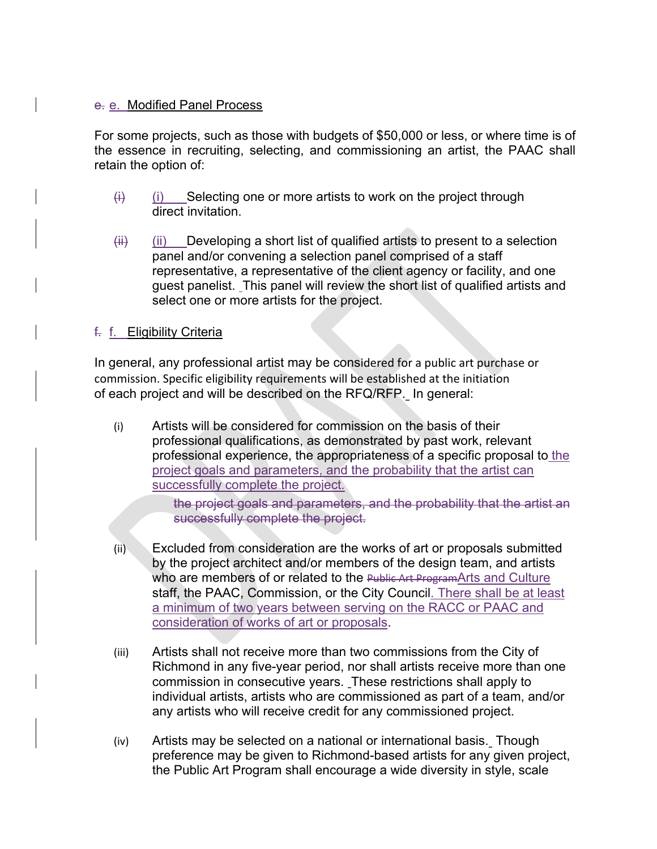#### e. e. Modified Panel Process

For some projects, such as those with budgets of \$50,000 or less, or where time is of the essence in recruiting, selecting, and commissioning an artist, the PAAC shall retain the option of:

- $(i)$  (i) Selecting one or more artists to work on the project through direct invitation.
- $\overline{f}$  (ii) Developing a short list of qualified artists to present to a selection panel and/or convening a selection panel comprised of a staff representative, a representative of the client agency or facility, and one guest panelist. This panel will review the short list of qualified artists and select one or more artists for the project.

### f. f. Eligibility Criteria

In general, any professional artist may be considered for a public art purchase or commission. Specific eligibility requirements will be established at the initiation of each project and will be described on the RFQ/RFP. In general:

(i) Artists will be considered for commission on the basis of their professional qualifications, as demonstrated by past work, relevant professional experience, the appropriateness of a specific proposal to the project goals and parameters, and the probability that the artist can successfully complete the project.

> the project goals and parameters, and the probability that the artist an successfully complete the project.

- (ii) Excluded from consideration are the works of art or proposals submitted by the project architect and/or members of the design team, and artists who are members of or related to the Public Art ProgramArts and Culture staff, the PAAC, Commission, or the City Council. There shall be at least a minimum of two years between serving on the RACC or PAAC and consideration of works of art or proposals.
- (iii) Artists shall not receive more than two commissions from the City of Richmond in any five-year period, nor shall artists receive more than one commission in consecutive years. These restrictions shall apply to individual artists, artists who are commissioned as part of a team, and/or any artists who will receive credit for any commissioned project.
- (iv) Artists may be selected on a national or international basis. Though preference may be given to Richmond-based artists for any given project, the Public Art Program shall encourage a wide diversity in style, scale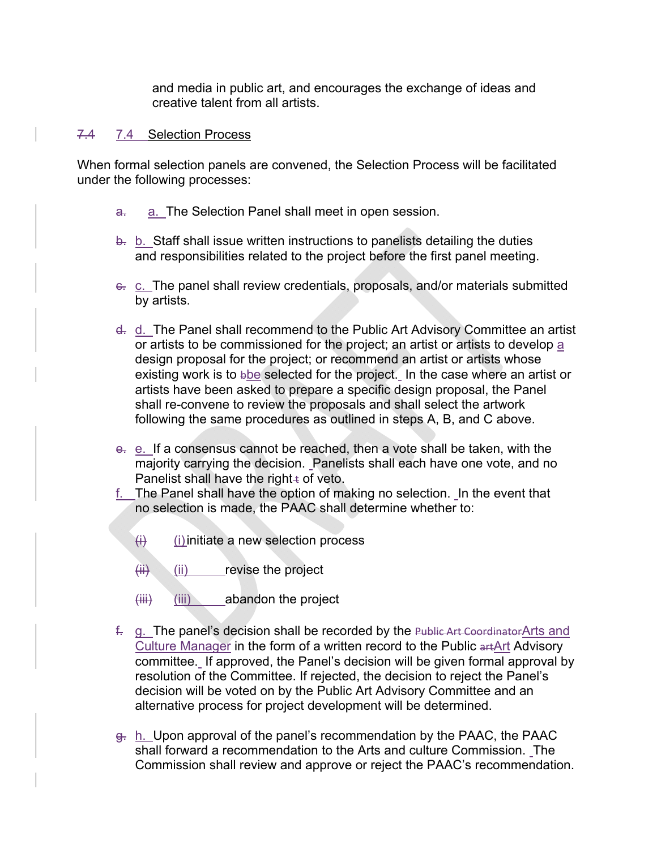and media in public art, and encourages the exchange of ideas and creative talent from all artists.

#### 7.4 7.4 Selection Process

When formal selection panels are convened, the Selection Process will be facilitated under the following processes:

- a. a. The Selection Panel shall meet in open session.
- $\theta$ . b. Staff shall issue written instructions to panelists detailing the duties and responsibilities related to the project before the first panel meeting.
- c. c. The panel shall review credentials, proposals, and/or materials submitted by artists.
- d. d. The Panel shall recommend to the Public Art Advisory Committee an artist or artists to be commissioned for the project; an artist or artists to develop a design proposal for the project; or recommend an artist or artists whose existing work is to bbe selected for the project. In the case where an artist or artists have been asked to prepare a specific design proposal, the Panel shall re-convene to review the proposals and shall select the artwork following the same procedures as outlined in steps A, B, and C above.
- e. e. If a consensus cannot be reached, then a vote shall be taken, with the majority carrying the decision. Panelists shall each have one vote, and no Panelist shall have the right $\pm$  of veto.
- f. The Panel shall have the option of making no selection. In the event that no selection is made, the PAAC shall determine whether to:
	- $(i)$  (i) initiate a new selection process
	- $(iii)$  (ii) revise the project
	- (iii) (iii) abandon the project
- f. g. The panel's decision shall be recorded by the Public Art Coordinator Arts and Culture Manager in the form of a written record to the Public artArt Advisory committee. If approved, the Panel's decision will be given formal approval by resolution of the Committee. If rejected, the decision to reject the Panel's decision will be voted on by the Public Art Advisory Committee and an alternative process for project development will be determined.
- $g<sub>r</sub>$  h. Upon approval of the panel's recommendation by the PAAC, the PAAC shall forward a recommendation to the Arts and culture Commission. The Commission shall review and approve or reject the PAAC's recommendation.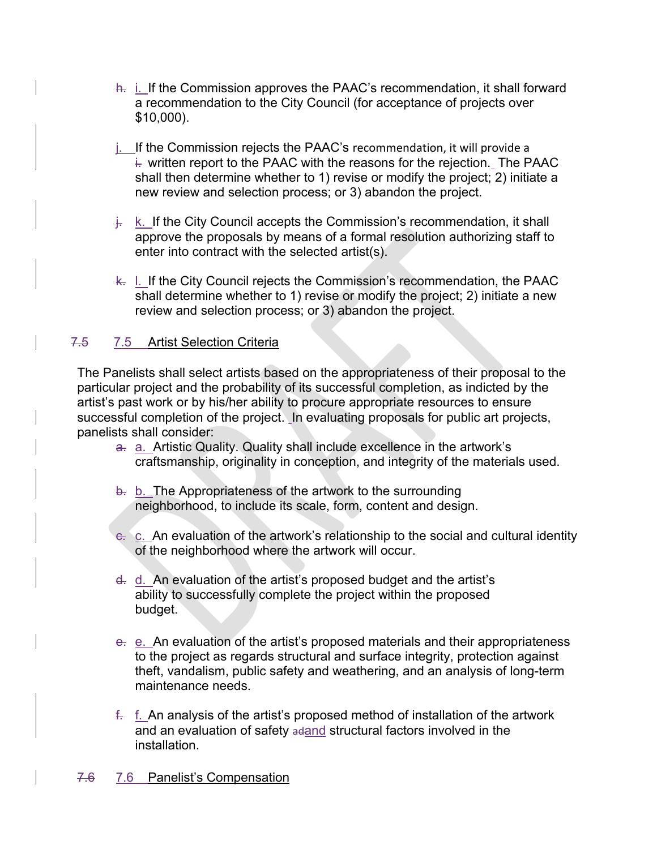- h. *i.* If the Commission approves the PAAC's recommendation, it shall forward a recommendation to the City Council (for acceptance of projects over \$10,000).
- j. If the Commission rejects the PAAC's recommendation, it will provide a  $\overline{h}$  written report to the PAAC with the reasons for the rejection. The PAAC shall then determine whether to 1) revise or modify the project; 2) initiate a new review and selection process; or 3) abandon the project.
- $\frac{1}{2}$ . K. If the City Council accepts the Commission's recommendation, it shall approve the proposals by means of a formal resolution authorizing staff to enter into contract with the selected artist(s).
- $k$ . I. If the City Council rejects the Commission's recommendation, the PAAC shall determine whether to 1) revise or modify the project; 2) initiate a new review and selection process; or 3) abandon the project.

### 7.5 7.5 Artist Selection Criteria

The Panelists shall select artists based on the appropriateness of their proposal to the particular project and the probability of its successful completion, as indicted by the artist's past work or by his/her ability to procure appropriate resources to ensure successful completion of the project. In evaluating proposals for public art projects, panelists shall consider:

- a. a. Artistic Quality. Quality shall include excellence in the artwork's craftsmanship, originality in conception, and integrity of the materials used.
- b. b. The Appropriateness of the artwork to the surrounding neighborhood, to include its scale, form, content and design.
- $\epsilon$ . C. An evaluation of the artwork's relationship to the social and cultural identity of the neighborhood where the artwork will occur.
- d. d. An evaluation of the artist's proposed budget and the artist's ability to successfully complete the project within the proposed budget.
- e. e. An evaluation of the artist's proposed materials and their appropriateness to the project as regards structural and surface integrity, protection against theft, vandalism, public safety and weathering, and an analysis of long-term maintenance needs.
- $f<sub>z</sub>$  f. An analysis of the artist's proposed method of installation of the artwork and an evaluation of safety adand structural factors involved in the installation.

### 7.6 7.6 Panelist's Compensation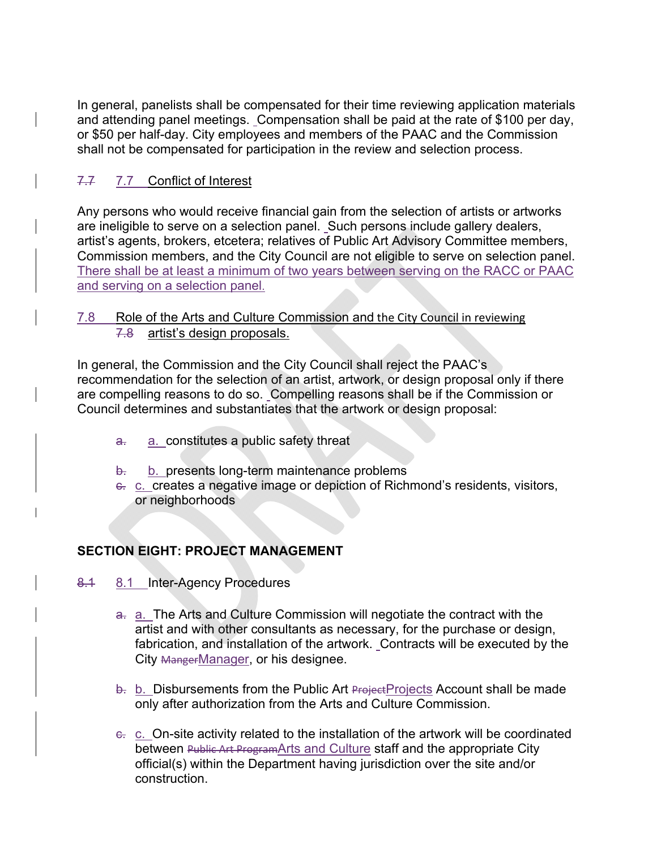In general, panelists shall be compensated for their time reviewing application materials and attending panel meetings. Compensation shall be paid at the rate of \$100 per day, or \$50 per half-day. City employees and members of the PAAC and the Commission shall not be compensated for participation in the review and selection process.

## 7.7 Conflict of Interest

Any persons who would receive financial gain from the selection of artists or artworks are ineligible to serve on a selection panel. Such persons include gallery dealers, artist's agents, brokers, etcetera; relatives of Public Art Advisory Committee members, Commission members, and the City Council are not eligible to serve on selection panel. There shall be at least a minimum of two years between serving on the RACC or PAAC and serving on a selection panel.

### 7.8 Role of the Arts and Culture Commission and the City Council in reviewing 7.8 artist's design proposals.

In general, the Commission and the City Council shall reject the PAAC's recommendation for the selection of an artist, artwork, or design proposal only if there are compelling reasons to do so. Compelling reasons shall be if the Commission or Council determines and substantiates that the artwork or design proposal:

- a. a. constitutes a public safety threat
- b. b. presents long-term maintenance problems
- e. c. creates a negative image or depiction of Richmond's residents, visitors, or neighborhoods

# **SECTION EIGHT: PROJECT MANAGEMENT**

- 8.1 8.1 Inter-Agency Procedures
	- a. a. The Arts and Culture Commission will negotiate the contract with the artist and with other consultants as necessary, for the purchase or design, fabrication, and installation of the artwork. Contracts will be executed by the City MangerManager, or his designee.
	- $b.$  b. Disbursements from the Public Art Project Projects Account shall be made only after authorization from the Arts and Culture Commission.
	- c. c. On-site activity related to the installation of the artwork will be coordinated between Public Art ProgramArts and Culture staff and the appropriate City official(s) within the Department having jurisdiction over the site and/or construction.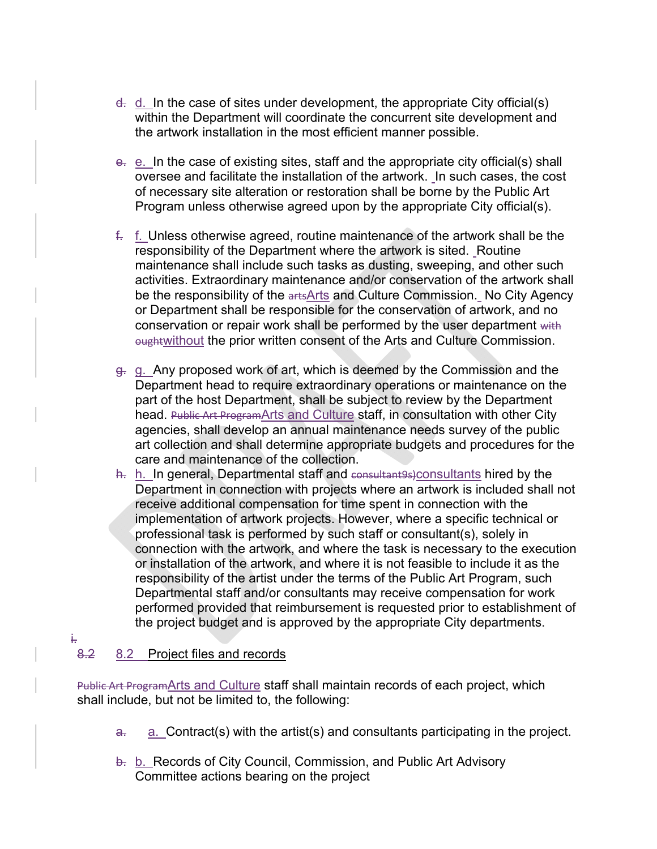- $\frac{d}{dx}$  d. In the case of sites under development, the appropriate City official(s) within the Department will coordinate the concurrent site development and the artwork installation in the most efficient manner possible.
- e. e. In the case of existing sites, staff and the appropriate city official(s) shall oversee and facilitate the installation of the artwork. In such cases, the cost of necessary site alteration or restoration shall be borne by the Public Art Program unless otherwise agreed upon by the appropriate City official(s).
- f. f. Unless otherwise agreed, routine maintenance of the artwork shall be the responsibility of the Department where the artwork is sited. Routine maintenance shall include such tasks as dusting, sweeping, and other such activities. Extraordinary maintenance and/or conservation of the artwork shall be the responsibility of the arts Arts and Culture Commission. No City Agency or Department shall be responsible for the conservation of artwork, and no conservation or repair work shall be performed by the user department with **oughtwithout the prior written consent of the Arts and Culture Commission.**
- g. g. Any proposed work of art, which is deemed by the Commission and the Department head to require extraordinary operations or maintenance on the part of the host Department, shall be subject to review by the Department head. Public Art ProgramArts and Culture staff, in consultation with other City agencies, shall develop an annual maintenance needs survey of the public art collection and shall determine appropriate budgets and procedures for the care and maintenance of the collection.
- h. h. In general, Departmental staff and consultantes)consultants hired by the Department in connection with projects where an artwork is included shall not receive additional compensation for time spent in connection with the implementation of artwork projects. However, where a specific technical or professional task is performed by such staff or consultant(s), solely in connection with the artwork, and where the task is necessary to the execution or installation of the artwork, and where it is not feasible to include it as the responsibility of the artist under the terms of the Public Art Program, such Departmental staff and/or consultants may receive compensation for work performed provided that reimbursement is requested prior to establishment of the project budget and is approved by the appropriate City departments.

# 8.2 8.2 Project files and records

i.

Public Art ProgramArts and Culture staff shall maintain records of each project, which shall include, but not be limited to, the following:

- $a<sub>z</sub>$  a. Contract(s) with the artist(s) and consultants participating in the project.
- b. b. Records of City Council, Commission, and Public Art Advisory Committee actions bearing on the project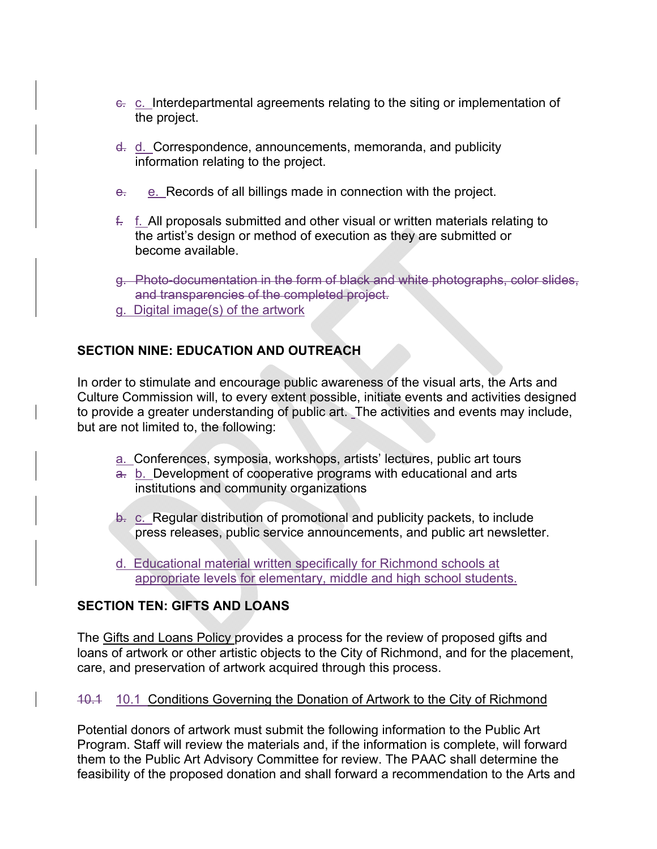- c. c. Interdepartmental agreements relating to the siting or implementation of the project.
- d. d. Correspondence, announcements, memoranda, and publicity information relating to the project.
- e. e. Records of all billings made in connection with the project.
- $f<sub>r</sub>$  f. All proposals submitted and other visual or written materials relating to the artist's design or method of execution as they are submitted or become available.
- g. Photo-documentation in the form of black and white photographs, color slides, and transparencies of the completed project.
- g. Digital image(s) of the artwork

# **SECTION NINE: EDUCATION AND OUTREACH**

In order to stimulate and encourage public awareness of the visual arts, the Arts and Culture Commission will, to every extent possible, initiate events and activities designed to provide a greater understanding of public art. The activities and events may include, but are not limited to, the following:

- a. Conferences, symposia, workshops, artists' lectures, public art tours
- a. b. Development of cooperative programs with educational and arts institutions and community organizations
- b. c. Regular distribution of promotional and publicity packets, to include press releases, public service announcements, and public art newsletter.
- d. Educational material written specifically for Richmond schools at appropriate levels for elementary, middle and high school students.

# **SECTION TEN: GIFTS AND LOANS**

The Gifts and Loans Policy provides a process for the review of proposed gifts and loans of artwork or other artistic objects to the City of Richmond, and for the placement, care, and preservation of artwork acquired through this process.

## 10.1 10.1 Conditions Governing the Donation of Artwork to the City of Richmond

Potential donors of artwork must submit the following information to the Public Art Program. Staff will review the materials and, if the information is complete, will forward them to the Public Art Advisory Committee for review. The PAAC shall determine the feasibility of the proposed donation and shall forward a recommendation to the Arts and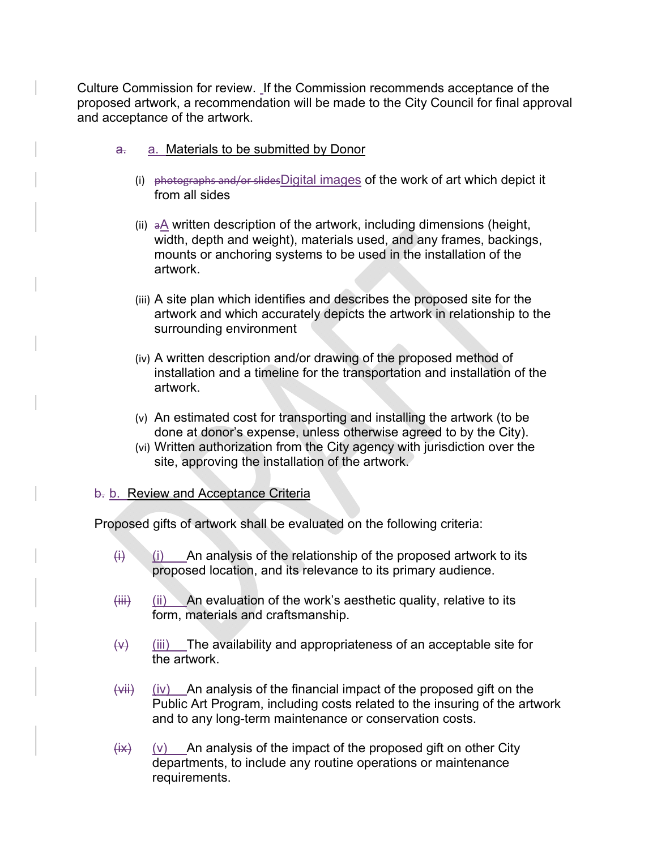Culture Commission for review. If the Commission recommends acceptance of the proposed artwork, a recommendation will be made to the City Council for final approval and acceptance of the artwork.

- a. a. Materials to be submitted by Donor
	- (i) photographs and/or slidesDigital images of the work of art which depict it from all sides
	- (ii) aA written description of the artwork, including dimensions (height, width, depth and weight), materials used, and any frames, backings, mounts or anchoring systems to be used in the installation of the artwork.
	- (iii) A site plan which identifies and describes the proposed site for the artwork and which accurately depicts the artwork in relationship to the surrounding environment
	- (iv) A written description and/or drawing of the proposed method of installation and a timeline for the transportation and installation of the artwork.
	- (v) An estimated cost for transporting and installing the artwork (to be done at donor's expense, unless otherwise agreed to by the City).
	- (vi) Written authorization from the City agency with jurisdiction over the site, approving the installation of the artwork.

#### b. b. Review and Acceptance Criteria

Proposed gifts of artwork shall be evaluated on the following criteria:

- $(i)$  (i) An analysis of the relationship of the proposed artwork to its proposed location, and its relevance to its primary audience.
- $(iii)$  (ii) An evaluation of the work's aesthetic quality, relative to its form, materials and craftsmanship.
- $\overline{v}$  (iii) The availability and appropriateness of an acceptable site for the artwork.
- $(vii)$  (iv) An analysis of the financial impact of the proposed gift on the Public Art Program, including costs related to the insuring of the artwork and to any long-term maintenance or conservation costs.
- $(ix)$  (v) An analysis of the impact of the proposed gift on other City departments, to include any routine operations or maintenance requirements.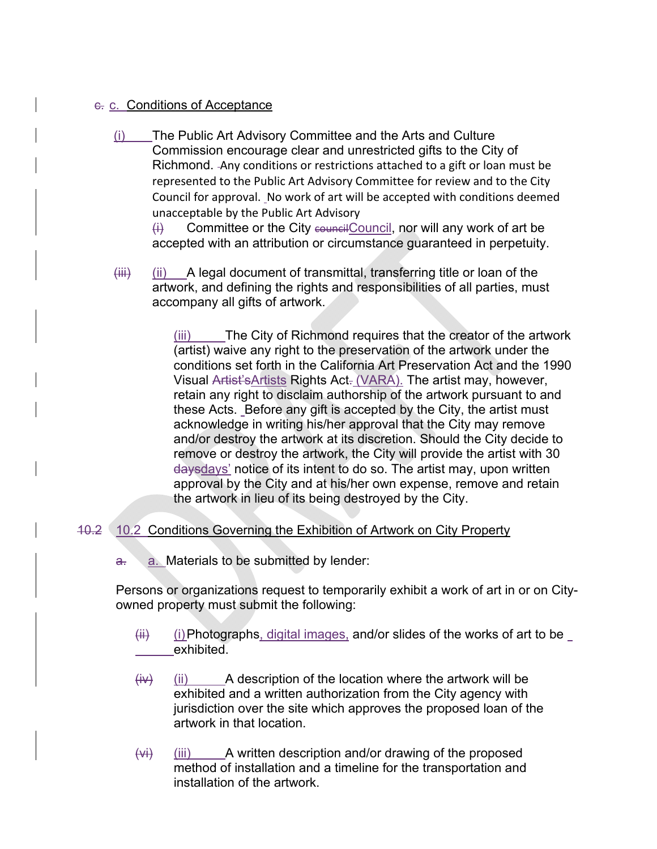### c. c. Conditions of Acceptance

(i) The Public Art Advisory Committee and the Arts and Culture Commission encourage clear and unrestricted gifts to the City of Richmond. Any conditions or restrictions attached to a gift or loan must be represented to the Public Art Advisory Committee for review and to the City Council for approval. No work of art will be accepted with conditions deemed unacceptable by the Public Art Advisory

 $\overline{H}$  Committee or the City council council, nor will any work of art be accepted with an attribution or circumstance guaranteed in perpetuity.

 $(iii)$  (ii) A legal document of transmittal, transferring title or loan of the artwork, and defining the rights and responsibilities of all parties, must accompany all gifts of artwork.

> (iii) The City of Richmond requires that the creator of the artwork (artist) waive any right to the preservation of the artwork under the conditions set forth in the California Art Preservation Act and the 1990 Visual Artist's Artists Rights Act. (VARA). The artist may, however, retain any right to disclaim authorship of the artwork pursuant to and these Acts. Before any gift is accepted by the City, the artist must acknowledge in writing his/her approval that the City may remove and/or destroy the artwork at its discretion. Should the City decide to remove or destroy the artwork, the City will provide the artist with 30 daysdays' notice of its intent to do so. The artist may, upon written approval by the City and at his/her own expense, remove and retain the artwork in lieu of its being destroyed by the City.

## 10.2 10.2 Conditions Governing the Exhibition of Artwork on City Property

 $a<sub>r</sub>$  a. Materials to be submitted by lender:

Persons or organizations request to temporarily exhibit a work of art in or on Cityowned property must submit the following:

- $\overline{f}$  (i) Photographs, digital images, and/or slides of the works of art to be exhibited.
- $(i)$  (ii) A description of the location where the artwork will be exhibited and a written authorization from the City agency with jurisdiction over the site which approves the proposed loan of the artwork in that location.
- $(vi)$  (iii) A written description and/or drawing of the proposed method of installation and a timeline for the transportation and installation of the artwork.